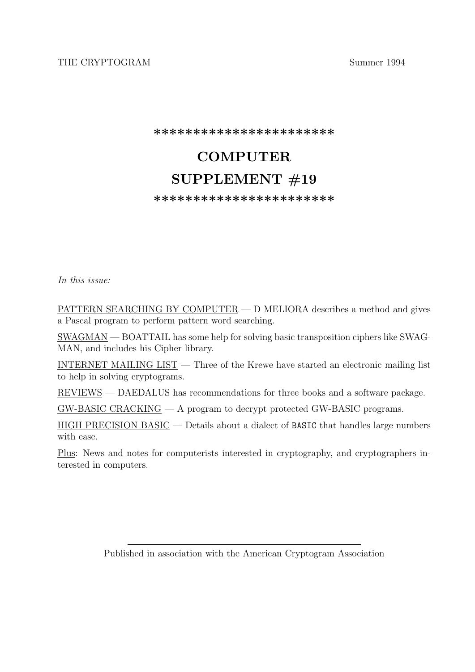# THE CRYPTOGRAM Summer 1994

**\*\*\*\*\*\*\*\*\*\*\*\*\*\*\*\*\*\*\*\*\*\*\***

# **COMPUTER SUPPLEMENT #19**

**\*\*\*\*\*\*\*\*\*\*\*\*\*\*\*\*\*\*\*\*\*\*\***

*In this issue:*

PATTERN SEARCHING BY COMPUTER — D MELIORA describes a method and gives a Pascal program to perform pattern word searching.

SWAGMAN — BOATTAIL has some help for solving basic transposition ciphers like SWAG-MAN, and includes his Cipher library.

INTERNET MAILING LIST — Three of the Krewe have started an electronic mailing list to help in solving cryptograms.

REVIEWS — DAEDALUS has recommendations for three books and a software package.

GW-BASIC CRACKING — A program to decrypt protected GW-BASIC programs.

HIGH PRECISION BASIC — Details about a dialect of BASIC that handles large numbers with ease.

Plus: News and notes for computerists interested in cryptography, and cryptographers interested in computers.

Published in association with the American Cryptogram Association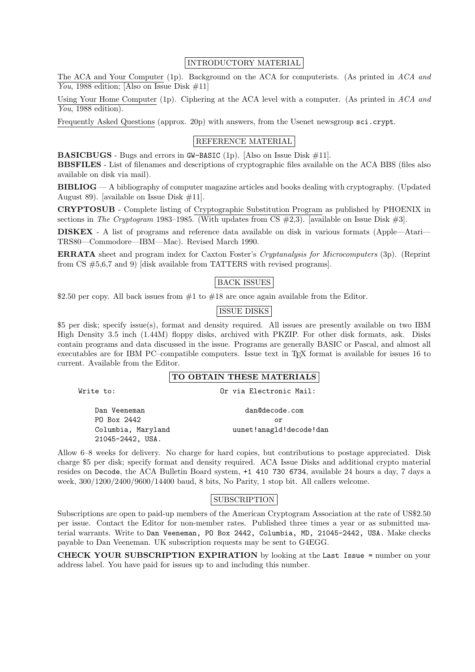## INTRODUCTORY MATERIAL

The ACA and Your Computer (1p). Background on the ACA for computerists. (As printed in *ACA and You*, 1988 edition; [Also on Issue Disk #11]

Using Your Home Computer (1p). Ciphering at the ACA level with a computer. (As printed in *ACA and You*, 1988 edition).

Frequently Asked Questions (approx. 20p) with answers, from the Usenet newsgroup sci.crypt.

## REFERENCE MATERIAL

**BASICBUGS** - Bugs and errors in GW-BASIC (1p). [Also on Issue Disk #11]. **BBSFILES** - List of filenames and descriptions of cryptographic files available on the ACA BBS (files also available on disk via mail).

**BIBLIOG** — A bibliography of computer magazine articles and books dealing with cryptography. (Updated August 89). [available on Issue Disk  $\#11$ ].

**CRYPTOSUB** - Complete listing of Cryptographic Substitution Program as published by PHOENIX in sections in *The Cryptogram* 1983–1985. (With updates from CS #2,3). [available on Issue Disk #3].

**DISKEX** - A list of programs and reference data available on disk in various formats (Apple—Atari— TRS80—Commodore—IBM—Mac). Revised March 1990.

**ERRATA** sheet and program index for Caxton Foster's *Cryptanalysis for Microcomputers* (3p). (Reprint from CS #5,6,7 and 9) [disk available from TATTERS with revised programs].

## BACK ISSUES

\$2.50 per copy. All back issues from  $#1$  to  $#18$  are once again available from the Editor.

## ISSUE DISKS

\$5 per disk; specify issue(s), format and density required. All issues are presently available on two IBM High Density 3.5 inch (1.44M) floppy disks, archived with PKZIP. For other disk formats, ask. Disks contain programs and data discussed in the issue. Programs are generally BASIC or Pascal, and almost all executables are for IBM PC–compatible computers. Issue text in T<sub>E</sub>X format is available for issues 16 to current. Available from the Editor.

#### **TO OBTAIN THESE MATERIALS**

Write to: Or via Electronic Mail:

Dan Veeneman dan@decode.com PO Box 2442 or Columbia, Maryland uunet!anagld!decode!dan 21045-2442, USA.

Allow 6–8 weeks for delivery. No charge for hard copies, but contributions to postage appreciated. Disk charge \$5 per disk; specify format and density required. ACA Issue Disks and additional crypto material resides on Decode, the ACA Bulletin Board system, +1 410 730 6734, available 24 hours a day, 7 days a week, 300/1200/2400/9600/14400 baud, 8 bits, No Parity, 1 stop bit. All callers welcome.

## SUBSCRIPTION

Subscriptions are open to paid-up members of the American Cryptogram Association at the rate of US\$2.50 per issue. Contact the Editor for non-member rates. Published three times a year or as submitted material warrants. Write to Dan Veeneman, PO Box 2442, Columbia, MD, 21045-2442, USA. Make checks payable to Dan Veeneman. UK subscription requests may be sent to G4EGG.

**CHECK YOUR SUBSCRIPTION EXPIRATION** by looking at the Last Issue = number on your address label. You have paid for issues up to and including this number.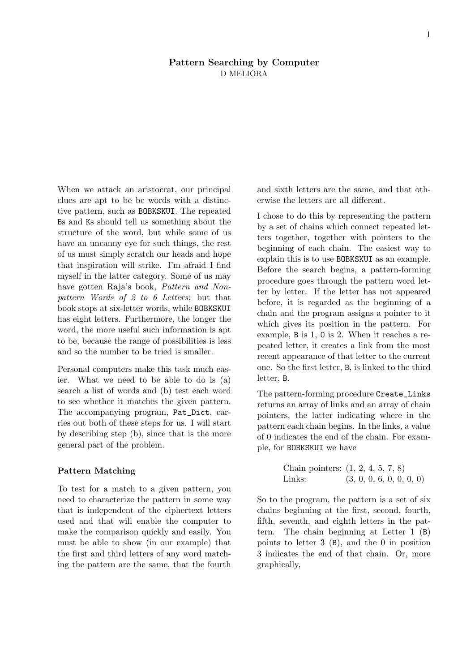## **Pattern Searching by Computer** D MELIORA

When we attack an aristocrat, our principal clues are apt to be be words with a distinctive pattern, such as BOBKSKUI. The repeated Bs and Ks should tell us something about the structure of the word, but while some of us have an uncanny eye for such things, the rest of us must simply scratch our heads and hope that inspiration will strike. I'm afraid I find myself in the latter category. Some of us may have gotten Raja's book, *Pattern and Nonpattern Words of 2 to 6 Letters*; but that book stops at six-letter words, while BOBKSKUI has eight letters. Furthermore, the longer the word, the more useful such information is apt to be, because the range of possibilities is less and so the number to be tried is smaller.

Personal computers make this task much easier. What we need to be able to do is (a) search a list of words and (b) test each word to see whether it matches the given pattern. The accompanying program, Pat\_Dict, carries out both of these steps for us. I will start by describing step (b), since that is the more general part of the problem.

## **Pattern Matching**

To test for a match to a given pattern, you need to characterize the pattern in some way that is independent of the ciphertext letters used and that will enable the computer to make the comparison quickly and easily. You must be able to show (in our example) that the first and third letters of any word matching the pattern are the same, that the fourth and sixth letters are the same, and that otherwise the letters are all different.

I chose to do this by representing the pattern by a set of chains which connect repeated letters together, together with pointers to the beginning of each chain. The easiest way to explain this is to use BOBKSKUI as an example. Before the search begins, a pattern-forming procedure goes through the pattern word letter by letter. If the letter has not appeared before, it is regarded as the beginning of a chain and the program assigns a pointer to it which gives its position in the pattern. For example, B is 1, O is 2. When it reaches a repeated letter, it creates a link from the most recent appearance of that letter to the current one. So the first letter, B, is linked to the third letter, B.

The pattern-forming procedure Create\_Links returns an array of links and an array of chain pointers, the latter indicating where in the pattern each chain begins. In the links, a value of 0 indicates the end of the chain. For example, for BOBKSKUI we have

| Chain pointers: $(1, 2, 4, 5, 7, 8)$ |                          |  |  |  |
|--------------------------------------|--------------------------|--|--|--|
| Links:                               | (3, 0, 0, 6, 0, 0, 0, 0) |  |  |  |

So to the program, the pattern is a set of six chains beginning at the first, second, fourth, fifth, seventh, and eighth letters in the pattern. The chain beginning at Letter 1 (B) points to letter 3 (B), and the 0 in position 3 indicates the end of that chain. Or, more graphically,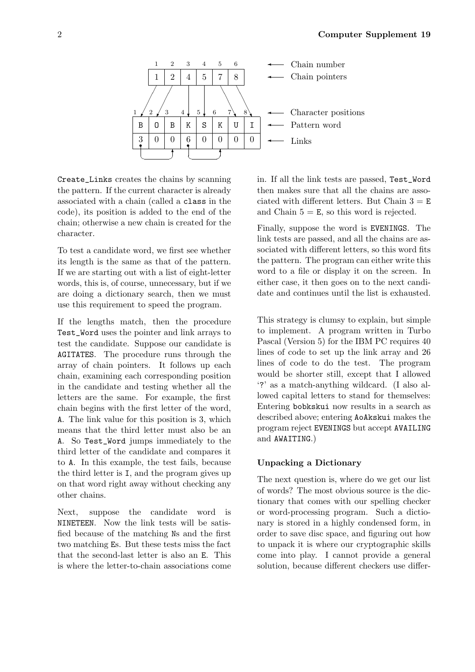

Create\_Links creates the chains by scanning the pattern. If the current character is already associated with a chain (called a class in the code), its position is added to the end of the chain; otherwise a new chain is created for the character.

To test a candidate word, we first see whether its length is the same as that of the pattern. If we are starting out with a list of eight-letter words, this is, of course, unnecessary, but if we are doing a dictionary search, then we must use this requirement to speed the program.

If the lengths match, then the procedure Test\_Word uses the pointer and link arrays to test the candidate. Suppose our candidate is AGITATES. The procedure runs through the array of chain pointers. It follows up each chain, examining each corresponding position in the candidate and testing whether all the letters are the same. For example, the first chain begins with the first letter of the word, A. The link value for this position is 3, which means that the third letter must also be an A. So Test\_Word jumps immediately to the third letter of the candidate and compares it to A. In this example, the test fails, because the third letter is I, and the program gives up on that word right away without checking any other chains.

Next, suppose the candidate word is NINETEEN. Now the link tests will be satisfied because of the matching Ns and the first two matching Es. But these tests miss the fact that the second-last letter is also an E. This is where the letter-to-chain associations come in. If all the link tests are passed, Test\_Word then makes sure that all the chains are associated with different letters. But Chain  $3 = E$ and Chain  $5 = E$ , so this word is rejected.

Finally, suppose the word is EVENINGS. The link tests are passed, and all the chains are associated with different letters, so this word fits the pattern. The program can either write this word to a file or display it on the screen. In either case, it then goes on to the next candidate and continues until the list is exhausted.

This strategy is clumsy to explain, but simple to implement. A program written in Turbo Pascal (Version 5) for the IBM PC requires 40 lines of code to set up the link array and 26 lines of code to do the test. The program would be shorter still, except that I allowed '?' as a match-anything wildcard. (I also allowed capital letters to stand for themselves: Entering bobkskui now results in a search as described above; entering AoAkskui makes the program reject EVENINGS but accept AVAILING and AWAITING.)

## **Unpacking a Dictionary**

The next question is, where do we get our list of words? The most obvious source is the dictionary that comes with our spelling checker or word-processing program. Such a dictionary is stored in a highly condensed form, in order to save disc space, and figuring out how to unpack it is where our cryptographic skills come into play. I cannot provide a general solution, because different checkers use differ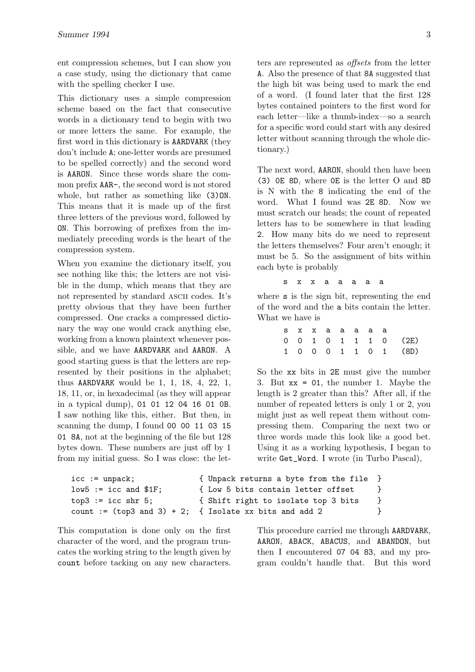ent compression schemes, but I can show you a case study, using the dictionary that came with the spelling checker I use.

This dictionary uses a simple compression scheme based on the fact that consecutive words in a dictionary tend to begin with two or more letters the same. For example, the first word in this dictionary is AARDVARK (they don't include A; one-letter words are presumed to be spelled correctly) and the second word is AARON. Since these words share the common prefix AAR-, the second word is not stored whole, but rather as something like  $(3)$ ON. This means that it is made up of the first three letters of the previous word, followed by ON. This borrowing of prefixes from the immediately preceding words is the heart of the compression system.

When you examine the dictionary itself, you see nothing like this; the letters are not visible in the dump, which means that they are not represented by standard ascii codes. It's pretty obvious that they have been further compressed. One cracks a compressed dictionary the way one would crack anything else, working from a known plaintext whenever possible, and we have AARDVARK and AARON. A good starting guess is that the letters are represented by their positions in the alphabet; thus AARDVARK would be 1, 1, 18, 4, 22, 1, 18, 11, or, in hexadecimal (as they will appear in a typical dump), 01 01 12 04 16 01 0B. I saw nothing like this, either. But then, in scanning the dump, I found 00 00 11 03 15 01 8A, not at the beginning of the file but 128 bytes down. These numbers are just off by 1 from my initial guess. So I was close: the letters are represented as *offsets* from the letter A. Also the presence of that 8A suggested that the high bit was being used to mark the end of a word. (I found later that the first 128 bytes contained pointers to the first word for each letter—like a thumb-index—so a search for a specific word could start with any desired letter without scanning through the whole dictionary.)

The next word, AARON, should then have been (3) 0E 8D, where 0E is the letter O and 8D is N with the 8 indicating the end of the word. What I found was 2E 8D. Now we must scratch our heads; the count of repeated letters has to be somewhere in that leading 2. How many bits do we need to represent the letters themselves? Four aren't enough; it must be 5. So the assignment of bits within each byte is probably

#### s x x a a a a a

where s is the sign bit, representing the end of the word and the a bits contain the letter. What we have is

|  | s x x a a a a a |  |  |                      |
|--|-----------------|--|--|----------------------|
|  |                 |  |  | 0 0 1 0 1 1 1 0 (2E) |
|  |                 |  |  | 1 0 0 0 1 1 0 1 (8D) |

So the xx bits in 2E must give the number 3. But xx = 01, the number 1. Maybe the length is 2 greater than this? After all, if the number of repeated letters is only 1 or 2, you might just as well repeat them without compressing them. Comparing the next two or three words made this look like a good bet. Using it as a working hypothesis, I began to write Get\_Word. I wrote (in Turbo Pascal),

```
icc := unpack; { Unpack returns a byte from the file }
low5 := icc and $1F; { Low 5 bits contain letter offset }
top3 := icc shr 5; { Shift right to isolate top 3 bits }
count := (top3 and 3) + 2; \{ Isolate xx bits and add 2 \}
```
This computation is done only on the first character of the word, and the program truncates the working string to the length given by count before tacking on any new characters. This procedure carried me through AARDVARK, AARON, ABACK, ABACUS, and ABANDON, but then I encountered 07 04 83, and my program couldn't handle that. But this word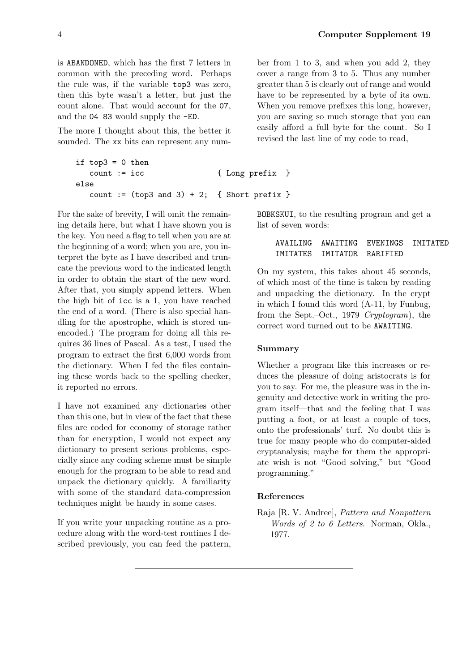is ABANDONED, which has the first 7 letters in common with the preceding word. Perhaps the rule was, if the variable top3 was zero, then this byte wasn't a letter, but just the count alone. That would account for the 07, and the 04 83 would supply the -ED.

The more I thought about this, the better it sounded. The xx bits can represent any num-

```
if top3 = 0 then
  count := icc { Long prefix }
else
  count := (top3 and 3) + 2; { Short prefix }
```
For the sake of brevity, I will omit the remaining details here, but what I have shown you is the key. You need a flag to tell when you are at the beginning of a word; when you are, you interpret the byte as I have described and truncate the previous word to the indicated length in order to obtain the start of the new word. After that, you simply append letters. When the high bit of icc is a 1, you have reached the end of a word. (There is also special handling for the apostrophe, which is stored unencoded.) The program for doing all this requires 36 lines of Pascal. As a test, I used the program to extract the first 6,000 words from the dictionary. When I fed the files containing these words back to the spelling checker, it reported no errors.

I have not examined any dictionaries other than this one, but in view of the fact that these files are coded for economy of storage rather than for encryption, I would not expect any dictionary to present serious problems, especially since any coding scheme must be simple enough for the program to be able to read and unpack the dictionary quickly. A familiarity with some of the standard data-compression techniques might be handy in some cases.

If you write your unpacking routine as a procedure along with the word-test routines I described previously, you can feed the pattern,

ber from 1 to 3, and when you add 2, they cover a range from 3 to 5. Thus any number greater than 5 is clearly out of range and would have to be represented by a byte of its own. When you remove prefixes this long, however, you are saving so much storage that you can easily afford a full byte for the count. So I revised the last line of my code to read,

BOBKSKUI, to the resulting program and get a list of seven words:

> AVAILING AWAITING EVENINGS IMITATED IMITATES IMITATOR RARIFIED

On my system, this takes about 45 seconds, of which most of the time is taken by reading and unpacking the dictionary. In the crypt in which I found this word (A-11, by Funbug, from the Sept.–Oct., 1979 *Cryptogram*), the correct word turned out to be AWAITING.

## **Summary**

Whether a program like this increases or reduces the pleasure of doing aristocrats is for you to say. For me, the pleasure was in the ingenuity and detective work in writing the program itself—that and the feeling that I was putting a foot, or at least a couple of toes, onto the professionals' turf. No doubt this is true for many people who do computer-aided cryptanalysis; maybe for them the appropriate wish is not "Good solving," but "Good programming."

## **References**

Raja [R. V. Andree], *Pattern and Nonpattern Words of 2 to 6 Letters*. Norman, Okla., 1977.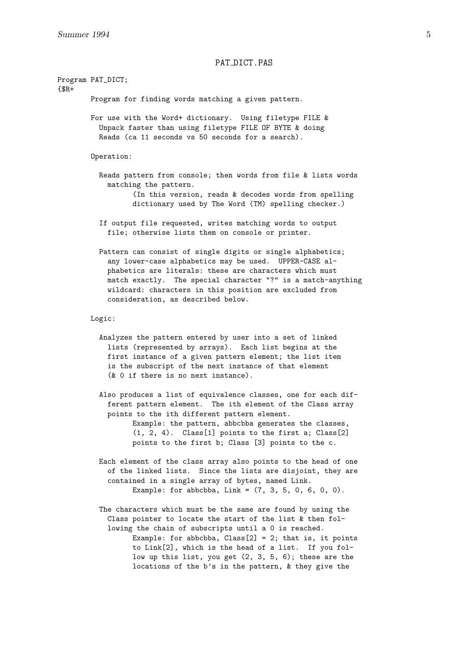### PAT\_DICT.PAS

Program PAT\_DICT; {\$R+ Program for finding words matching a given pattern. For use with the Word+ dictionary. Using filetype FILE & Unpack faster than using filetype FILE OF BYTE & doing Reads (ca 11 seconds vs 50 seconds for a search). Operation: Reads pattern from console; then words from file & lists words matching the pattern. (In this version, reads & decodes words from spelling dictionary used by The Word (TM) spelling checker.) If output file requested, writes matching words to output file; otherwise lists them on console or printer. Pattern can consist of single digits or single alphabetics; any lower-case alphabetics may be used. UPPER-CASE alphabetics are literals: these are characters which must match exactly. The special character "?" is a match-anything wildcard: characters in this position are excluded from consideration, as described below. Logic: Analyzes the pattern entered by user into a set of linked lists (represented by arrays). Each list begins at the first instance of a given pattern element; the list item is the subscript of the next instance of that element (& 0 if there is no next instance). Also produces a list of equivalence classes, one for each different pattern element. The ith element of the Class array points to the ith different pattern element. Example: the pattern, abbcbba generates the classes, (1, 2, 4). Class[1] points to the first a; Class[2] points to the first b; Class [3] points to the c. Each element of the class array also points to the head of one of the linked lists. Since the lists are disjoint, they are contained in a single array of bytes, named Link. Example: for abbcbba, Link =  $(7, 3, 5, 0, 6, 0, 0)$ . The characters which must be the same are found by using the Class pointer to locate the start of the list & then following the chain of subscripts until a 0 is reached. Example: for abbcbba,  $Class[2] = 2$ ; that is, it points to Link[2], which is the head of a list. If you follow up this list, you get (2, 3, 5, 6); these are the locations of the b's in the pattern, & they give the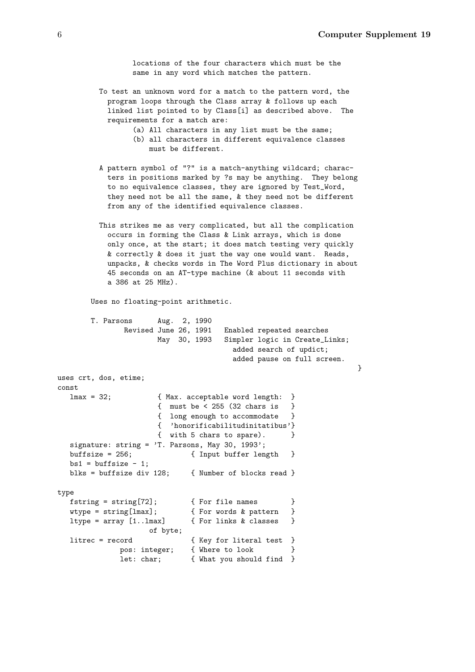}

locations of the four characters which must be the same in any word which matches the pattern.

- To test an unknown word for a match to the pattern word, the program loops through the Class array & follows up each linked list pointed to by Class[i] as described above. The requirements for a match are:
	- (a) All characters in any list must be the same;
	- (b) all characters in different equivalence classes must be different.
- A pattern symbol of "?" is a match-anything wildcard; characters in positions marked by ?s may be anything. They belong to no equivalence classes, they are ignored by Test\_Word, they need not be all the same, & they need not be different from any of the identified equivalence classes.
- This strikes me as very complicated, but all the complication occurs in forming the Class & Link arrays, which is done only once, at the start; it does match testing very quickly & correctly & does it just the way one would want. Reads, unpacks, & checks words in The Word Plus dictionary in about 45 seconds on an AT-type machine (& about 11 seconds with a 386 at 25 MHz).

Uses no floating-point arithmetic.

```
T. Parsons Aug. 2, 1990
              Revised June 26, 1991 Enabled repeated searches
                    May 30, 1993 Simpler logic in Create_Links;
                                    added search of updict;
                                    added pause on full screen.
uses crt, dos, etime;
const
  lmax = 32; { Max. acceptable word length: }
                     { must be < 255 (32 chars is }
                     { long enough to accommodate }
                     { 'honorificabilitudinitatibus'}
                     { with 5 chars to spare). }
  signature: string = 'T. Parsons, May 30, 1993';
  buffsize = 256; { Input buffer length }
  bs1 = \text{buffer} - 1;blks = buffsize div 128; { Number of blocks read }
type
  fstring = string[72]; { For file names }
  wtype = string[lmax]; { For words & pattern }
  ltype = array [1..lmax] { For links & classes }
                   of byte;
  litrec = record { \{ Key for literal test }pos: integer; { Where to look }
             let: char; { What you should find }
```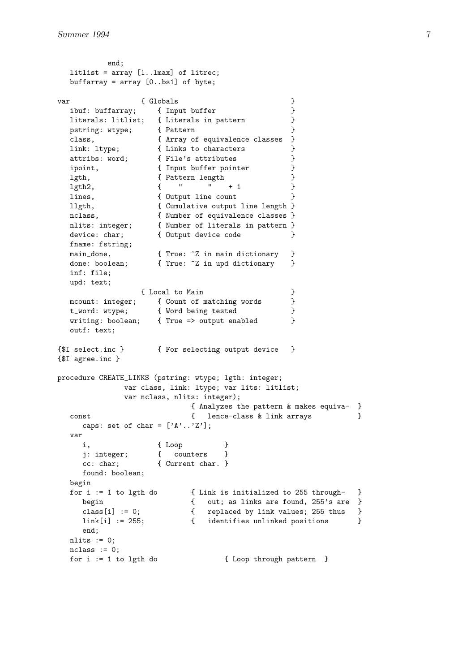```
end;
  litlist = array [1..lmax] of litrec;
  buffarray = array [0..bs1] of byte;
var { Globals }
  ibuf: buffarray; { Input buffer }
  literals: litlist; { Literals in pattern }
  pstring: wtype; { Pattern }<br>class, { Array of equivalence classes }
  class, { Array of equivalence classes }
  link: ltype; \{ Links to characters \}attribs: word; \{ File's attributes \}ipoint, { Input buffer pointer }
  lgth, { Pattern length }
  lgth2, { " " + 1 }
  lines, { Output line count }
  llgth, { Cumulative output line length }
  nclass, { Number of equivalence classes }
  nlits: integer; { Number of literals in pattern }
  device: char;      { Output device code        }
  fname: fstring;
  main_done, { True: ^Z in main dictionary }
  done: boolean; { True: ^Z in upd dictionary }
  inf: file;
  upd: text;
               { Local to Main }
  mcount: integer; { Count of matching words }
  t_word: wtype; { Word being tested }
  writing: boolean; { True => output enabled }
  outf: text;
{$I select.inc } { For selecting output device }
{$I agree.inc }
procedure CREATE_LINKS (pstring: wtype; lgth: integer;
             var class, link: ltype; var lits: litlist;
             var nclass, nlits: integer);
                          { Analyzes the pattern & makes equiva- }
  const \{ lence-class & link arrays \}caps: set of char = [\n'A', \n'Z'];
  var
    i, { Loop }
    j: integer; { counters }
    cc: char; { Current char. }
    found: boolean;
  begin
  for i := 1 to lgth do { Link is initialized to 255 through- }
    begin { out; as links are found, 255's are }<br>class[i] := 0; { replaced by link values; 255 thus }<br>link[i] := 255; { identifies unlinked positions }
                        { replaced by link values; 255 thus }
                        { identifies unlinked positions }
    end;
  nlits := 0;nclass := 0;for i := 1 to lgth do \{ Loop through pattern \}
```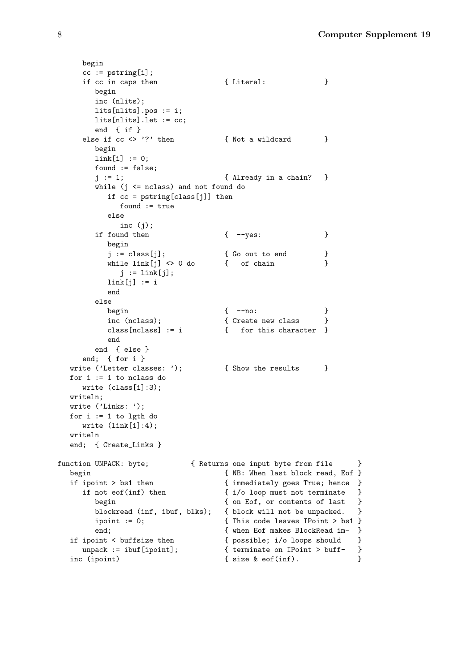```
begin
     cc := pstring[i];if cc in caps then \{ Literal: \}begin
        inc (nlits);
        lits[nlits].pos := i;
        lits[nlits].let := cc;
        end { if }
     else if cc \Leftrightarrow '?' then \{ Not a wildcard \}begin
        link[i] := 0;found := false;
        j := 1; { Already in a chain? }
        while (j \leq nclass) and not found do
           if cc = pstring[class[j]] then
             found := true
           else
              inc (j);
        if found then \{ -yes: \}begin
           j := class[j]; { Go out to end }
           while link[j] <> 0 do { of chain }
            j := link[j];
           link[j] := iend
        else
          begin { --no: }<br>
inc (nclass); { Create new class }<br>
class[nclass] := i { for this character }
           inc (nclass); \{ Create new class \}class[nclass] := i { for this character }
           end
        end { else }
     end; { for i }
  write ('Letter classes: '); { Show the results }
  for i := 1 to nclass do
     write (class[i]:3);
  writeln;
  write ('Links: ');
  for i := 1 to lgth do
     write (link[i]:4);
  writeln
  end; { Create_Links }
function UNPACK: byte; \{ Returns one input byte from file \}begin {N} MB: When last block read, Eof }
  if ipoint > bs1 then { immediately goes True; hence }if not eof(inf) then <br> \{ i/o \text{ loop must not terminate } \}begin { on Eof, or contents of last }
        blockread (inf, ibuf, blks); { block will not be unpacked. }
        ipoint := 0; { This code leaves IPoint > bs1 }
        end; {where} and {where} and {where} and {where} and {where} and {since} and {since} and {since} and {since} and {since} and {since} and {since} and {since} and {since} and {since} and {since} and {since} and {since} and {since} and {since} and {since} and {since} a
   if ipoint < buffsize then { possible; i/o loops should }
     unpack := ibuf[ipoint]; { terminate on IPoint > buff- }
  inc (ipoint) \{ size \& cof(int). \}
```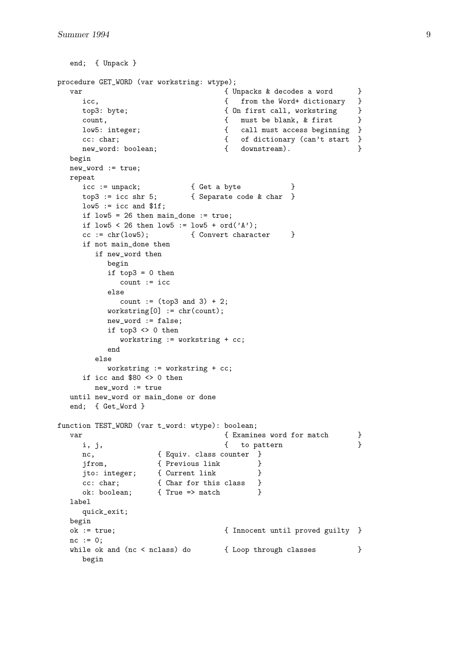```
end; { Unpack }
procedure GET_WORD (var workstring: wtype);
  var \{ Unpacks & decodes a word \}icc, \{ from the Word+ dictionary \}top3: byte; \{ On first call, working \}count, { must be blank, & first }low5: integer; \{ call must access beginning \}cc: char;<br>
new_word: boolean;<br>
\{ of dictionary (can't start }<br>
 hew_word: boolean;<br>
\{ downstream).
    new_word: boolean; \{ downstream).
  begin
  new_word := true;
  repeat
    icc := unpack; { Get a byte }
    top3 := icc shr 5; { Separate code & char }
    low5 := icc and $1f;if low5 = 26 then main_done := true;
    if low5 < 26 then low5 := low5 + ord('A');
    cc := chr(low5); { Convert character }
    if not main_done then
       if new_word then
         begin
         if top3 = 0 then
           count := icc
         else
           count := (top3 and 3) + 2;
         workstring[0] := chr(count);new_word := false;
         if top3 \leftrightarrow 0 then
           workstring := workstring + cc;
         end
       else
         workstring := workstring + cc;
    if icc and $80 \lt 0 then
      new_word := true
  until new_word or main_done or done
  end; { Get_Word }
function TEST WORD (var t word: wtype): boolean;
  var \{ Examines word for match \}i, j, \{ to pattern \}nc, { Equiv. class counter }
    jfrom, { Previous link }
     jto: integer; { Current link }
     cc: char; { Char for this class }
     ok: boolean; { True => match }
  label
    quick_exit;
  begin
  ok := true; { Innocent until proved guilty }
  nc := 0;while ok and (nc < nclass) do \{ Loop through classes \}begin
```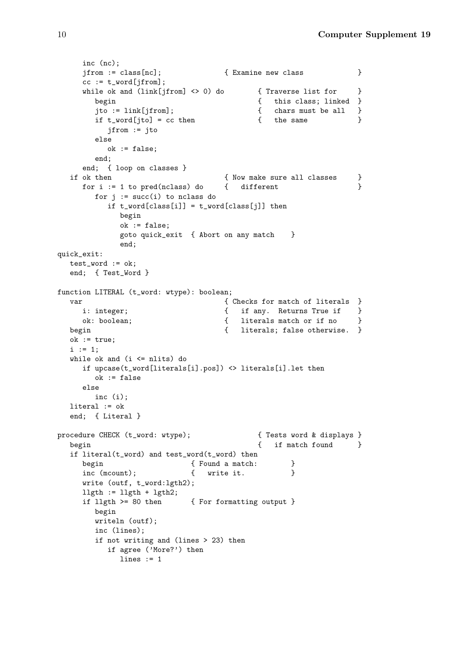```
inc (nc);
    jfrom := class[nc]; { Examine new class }
    cc := t word [jfrom];
    while ok and (\text{link}[ifrom] \Leftrightarrow 0) do { Traverse list for }
       begin \{ this class; linked \}jto := link[jfrom]; { chars must be all }
       if t_word[jto] = cc then \{ the same \}jfrom := jto
       else
         ok := false;
       end;
    end; { loop on classes }
  if ok then \{ Now make sure all classes \}for i := 1 to pred(nclass) do { different }
       for j := succ(i) to nclass do
         if t_word[class[i]] = t_word[class[j]] then
           begin
           ok := false;
           goto quick_exit { Abort on any match }
           end;
quick_exit:
  test_word := ok;
  end; { Test_Word }
function LITERAL (t_word: wtype): boolean;
  var \{ Checks for match of literals \}i: integer; \{ if any. Returns True if \}ok: boolean; { literals match or if no }
  begin \{ literals; false otherwise. \}ok := true;
  i := 1;while ok and (i \leq nlits) do
    if upcase(t_word[literals[i].pos]) <> literals[i].let then
      ok := false
    else
      inc (i);
  literal := ok
  end; { Literal }
procedure CHECK (t_word: wtype); { Tests word & displays }
  begin \{ if match found \}if literal(t_word) and test_word(t_word) then
    begin { Found a match: }
    inc (mcount); \{ write it. \}write (outf, t_word:lgth2);
    l\nexists := l\nexists + l\nexists;
    if llgth >= 80 then { For formatting output }
      begin
      writeln (outf);
       inc (lines);
       if not writing and (lines > 23) then
         if agree ('More?') then
           lines := 1
```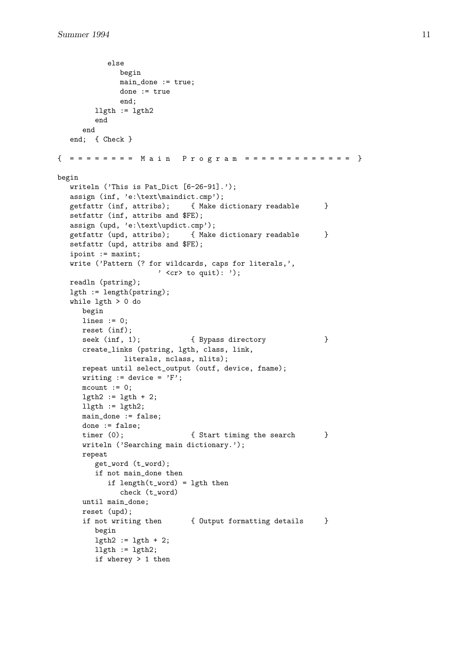```
else
             begin
             main_done := true;
             done := true
             end;
        llgth := lgth2end
     end
  end; { Check }
{ = = = = = = = "Main Program = == == == == == ==}begin
  writeln ('This is Pat_Dict [6-26-91].');
  assign (inf, 'e:\text\maindict.cmp');
  getfattr (inf, attribs); { Make dictionary readable }
  setfattr (inf, attribs and $FE);
  assign (upd, 'e:\text\updict.cmp');
  getfattr (upd, attribs); { Make dictionary readable }
  setfattr (upd, attribs and $FE);
  ipoint := maxint;
  write ('Pattern (? for wildcards, caps for literals,',
                     ' <cr> to quit): ');
  readln (pstring);
  lgth := length(pstring);
  while lgth > 0 do
     begin
     lines := 0;
     reset (inf);
     seek (inf, 1); { Bypass directory }
     create_links (pstring, lgth, class, link,
              literals, nclass, nlits);
     repeat until select_output (outf, device, fname);
     writing := device = 'F';
     mcount := 0;lgth2 := lgth + 2;llgth := lgth2;
     main_done := false;
     done := false;
     timer (0); \{ Start timing the search }
     writeln ('Searching main dictionary.');
     repeat
        get_word (t_word);
        if not main_done then
           if length(t_word) = lgth then
             check (t_word)
     until main_done;
     reset (upd);
     if not writing then { Output formatting details }
        begin
        lgth2 := lgth + 2;llgth := lgth2;if wherey > 1 then
```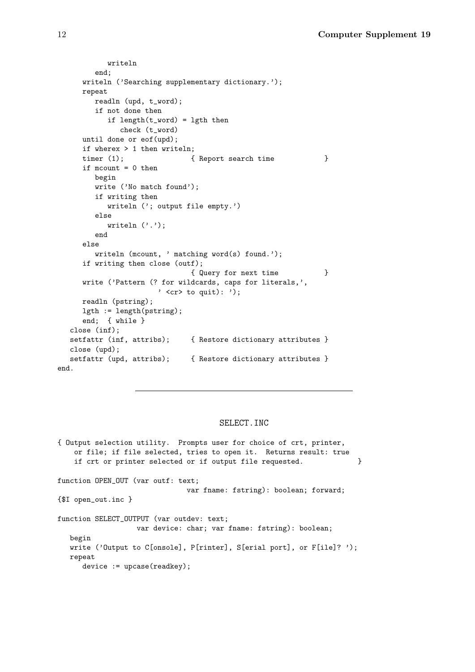```
writeln
        end;
     writeln ('Searching supplementary dictionary.');
     repeat
        readln (upd, t_word);
        if not done then
           if length(t_{word}) = lgth then
              check (t_word)
     until done or eof(upd);
     if wherex > 1 then writeln;
     timer (1); \{ Report search time \}if mcount = 0 then
        begin
        write ('No match found');
        if writing then
           writeln ('; output file empty.')
        else
           writeln ('.');
        end
     else
        writeln (mcount, ' matching word(s) found.');
     if writing then close (outf);
                               { Query for next time }
     write ('Pattern (? for wildcards, caps for literals,',
                       ' \langlecr> to quit): ');
     readln (pstring);
     lgth := length(pstring);
     end; { while }
  close (inf);
  setfattr (inf, attribs); { Restore dictionary attributes }
  close (upd);
  setfattr (upd, attribs); { Restore dictionary attributes }
end.
```
#### SELECT.INC

{ Output selection utility. Prompts user for choice of crt, printer, or file; if file selected, tries to open it. Returns result: true if crt or printer selected or if output file requested.  $\}$ function OPEN\_OUT (var outf: text; var fname: fstring): boolean; forward; {\$I open\_out.inc } function SELECT\_OUTPUT (var outdev: text; var device: char; var fname: fstring): boolean; begin write ('Output to C[onsole], P[rinter], S[erial port], or F[ile]? '); repeat device := upcase(readkey);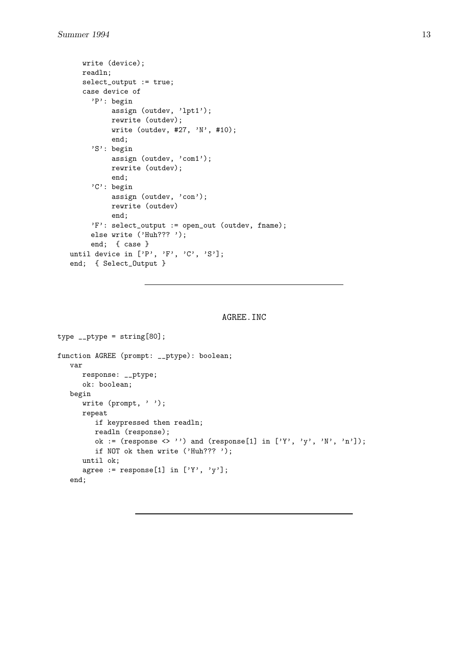```
write (device);
  readln;
  select_output := true;
  case device of
     'P': begin
          assign (outdev, 'lpt1');
          rewrite (outdev);
          write (outdev, #27, 'N', #10);
          end;
     'S': begin
          assign (outdev, 'com1');
          rewrite (outdev);
          end;
     'C': begin
          assign (outdev, 'con');
          rewrite (outdev)
          end;
     'F': select_output := open_out (outdev, fname);
     else write ('Huh??? ');
     end; { case }
until device in ['P', 'F', 'C', 'S'];
end; { Select_Output }
```
## AGREE.INC

```
type _{-}ptype = string[80];
function AGREE (prompt: __ptype): boolean;
   var
      response: __ptype;
      ok: boolean;
   begin
      write (prompt, '');
      repeat
         if keypressed then readln;
         readln (response);
         ok := (response \langle \rangle'') and (response[1] in ['Y', 'y', 'N', 'n']);
         if NOT ok then write ('Huh??? ');
      until ok;
      agree := response[1] in ['Y', 'y'];
   end;
```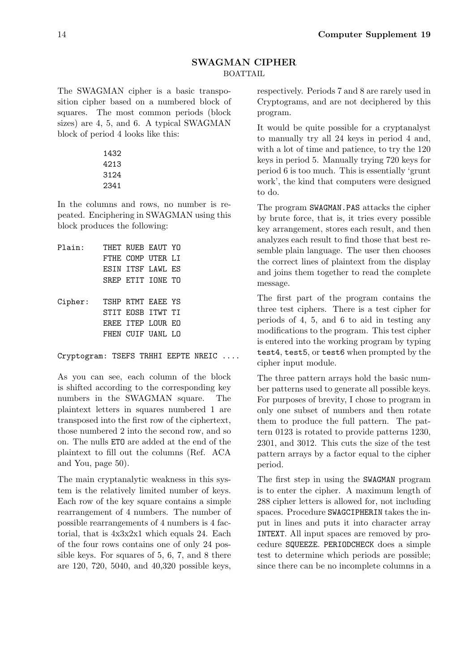## **SWAGMAN CIPHER** BOATTAIL

The SWAGMAN cipher is a basic transposition cipher based on a numbered block of squares. The most common periods (block sizes) are 4, 5, and 6. A typical SWAGMAN block of period 4 looks like this:

In the columns and rows, no number is repeated. Enciphering in SWAGMAN using this block produces the following:

| Plain:  |  | THET RUEB EAUT YO   |  |
|---------|--|---------------------|--|
|         |  | FTHE COMP UTER LT   |  |
|         |  | ESIN ITSF LAWL ES   |  |
|         |  | SREP ETIT IONE TO   |  |
|         |  |                     |  |
| Cipher: |  | TSHP RTMT EAEE YS   |  |
|         |  | STIT EOSB ITWT TI   |  |
|         |  | EREE TTEP LOUR EO   |  |
|         |  | FHEN CUIF UANI. I.O |  |
|         |  |                     |  |

Cryptogram: TSEFS TRHHI EEPTE NREIC ....

As you can see, each column of the block is shifted according to the corresponding key numbers in the SWAGMAN square. The plaintext letters in squares numbered 1 are transposed into the first row of the ciphertext, those numbered 2 into the second row, and so on. The nulls ETO are added at the end of the plaintext to fill out the columns (Ref. ACA and You, page 50).

The main cryptanalytic weakness in this system is the relatively limited number of keys. Each row of the key square contains a simple rearrangement of 4 numbers. The number of possible rearrangements of 4 numbers is 4 factorial, that is 4x3x2x1 which equals 24. Each of the four rows contains one of only 24 possible keys. For squares of 5, 6, 7, and 8 there are 120, 720, 5040, and 40,320 possible keys,

respectively. Periods 7 and 8 are rarely used in Cryptograms, and are not deciphered by this program.

It would be quite possible for a cryptanalyst to manually try all 24 keys in period 4 and, with a lot of time and patience, to try the 120 keys in period 5. Manually trying 720 keys for period 6 is too much. This is essentially 'grunt work', the kind that computers were designed to do.

The program SWAGMAN.PAS attacks the cipher by brute force, that is, it tries every possible key arrangement, stores each result, and then analyzes each result to find those that best resemble plain language. The user then chooses the correct lines of plaintext from the display and joins them together to read the complete message.

The first part of the program contains the three test ciphers. There is a test cipher for periods of 4, 5, and 6 to aid in testing any modifications to the program. This test cipher is entered into the working program by typing test4, test5, or test6 when prompted by the cipher input module.

The three pattern arrays hold the basic number patterns used to generate all possible keys. For purposes of brevity, I chose to program in only one subset of numbers and then rotate them to produce the full pattern. The pattern 0123 is rotated to provide patterns 1230, 2301, and 3012. This cuts the size of the test pattern arrays by a factor equal to the cipher period.

The first step in using the SWAGMAN program is to enter the cipher. A maximum length of 288 cipher letters is allowed for, not including spaces. Procedure SWAGCIPHERIN takes the input in lines and puts it into character array INTEXT. All input spaces are removed by procedure SQUEEZE. PERIODCHECK does a simple test to determine which periods are possible; since there can be no incomplete columns in a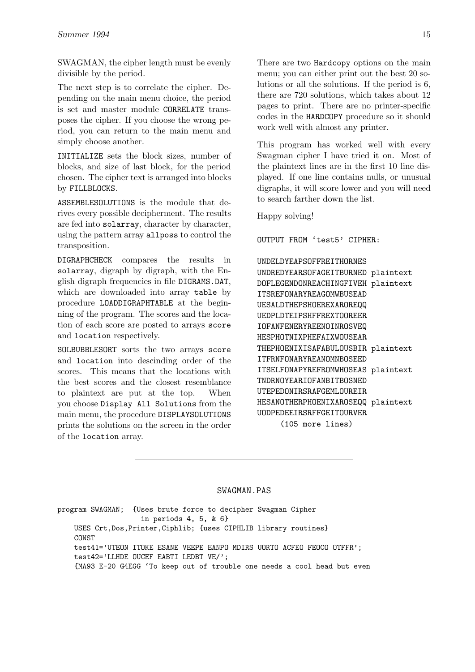SWAGMAN, the cipher length must be evenly divisible by the period.

The next step is to correlate the cipher. Depending on the main menu choice, the period is set and master module CORRELATE transposes the cipher. If you choose the wrong period, you can return to the main menu and simply choose another.

INITIALIZE sets the block sizes, number of blocks, and size of last block, for the period chosen. The cipher text is arranged into blocks by FILLBLOCKS.

ASSEMBLESOLUTIONS is the module that derives every possible decipherment. The results are fed into solarray, character by character, using the pattern array allposs to control the transposition.

DIGRAPHCHECK compares the results in solarray, digraph by digraph, with the English digraph frequencies in file DIGRAMS.DAT, which are downloaded into array table by procedure LOADDIGRAPHTABLE at the beginning of the program. The scores and the location of each score are posted to arrays score and location respectively.

SOLBUBBLESORT sorts the two arrays score and location into descinding order of the scores. This means that the locations with the best scores and the closest resemblance to plaintext are put at the top. When you choose Display All Solutions from the main menu, the procedure DISPLAYSOLUTIONS prints the solutions on the screen in the order of the location array.

There are two Hardcopy options on the main menu; you can either print out the best 20 solutions or all the solutions. If the period is 6, there are 720 solutions, which takes about 12 pages to print. There are no printer-specific codes in the HARDCOPY procedure so it should work well with almost any printer.

This program has worked well with every Swagman cipher I have tried it on. Most of the plaintext lines are in the first 10 line displayed. If one line contains nulls, or unusual digraphs, it will score lower and you will need to search farther down the list.

Happy solving!

OUTPUT FROM 'test5' CIPHER:

#### UNDELDYEAPSOFFREITHORNES

| UNDREDYEARSOFAGEITBURNED plaintext |  |  |  |  |
|------------------------------------|--|--|--|--|
| DOFLEGENDONREACHINGFIVEH plaintext |  |  |  |  |
|                                    |  |  |  |  |
|                                    |  |  |  |  |
|                                    |  |  |  |  |
|                                    |  |  |  |  |
|                                    |  |  |  |  |
| THEPHOENIXISAFABULOUSBIR plaintext |  |  |  |  |
|                                    |  |  |  |  |
| ITSELFONAPYREFROMWHOSEAS plaintext |  |  |  |  |
|                                    |  |  |  |  |
|                                    |  |  |  |  |
| HESANOTHERPHOENIXAROSEQQ plaintext |  |  |  |  |
| UODPEDEEIRSRFFGEITOURVER           |  |  |  |  |
|                                    |  |  |  |  |
|                                    |  |  |  |  |

#### SWAGMAN.PAS

program SWAGMAN; {Uses brute force to decipher Swagman Cipher in periods 4, 5, & 6} USES Crt,Dos,Printer,Ciphlib; {uses CIPHLIB library routines} CONST test41='UTEON ITOKE ESANE VEEPE EANPO MDIRS UORTO ACFEO FEOCO OTFFR'; test42='LLHDE OUCEF EABTI LEDBT VE/'; {MA93 E-20 G4EGG 'To keep out of trouble one needs a cool head but even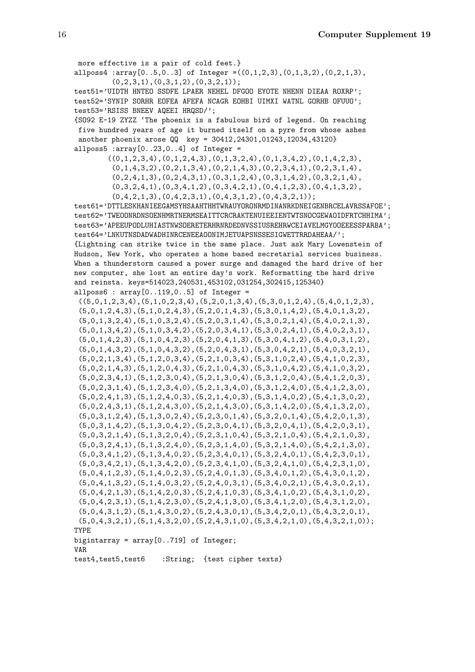more effective is a pair of cold feet.} allposs4 : array $[0..5,0..3]$  of Integer = $((0,1,2,3),(0,1,3,2),(0,2,1,3))$ ,  $(0,2,3,1),$  $(0,3,1,2),$  $(0,3,2,1)$ ; test51='UIDTH HNTEO SSDFE LPAER NEHEL DFGOO EYOTE NHENN DIEAA ROXRP'; test52='SYNIP SORHR EOFEA AFEFA NCAGR EOHBI UIMXI WATNL GORHB OFUUO'; test53='RSISS BNEEV AQEEI HRQSD/'; {SO92 E-19 ZYZZ 'The phoenix is a fabulous bird of legend. On reaching five hundred years of age it burned itself on a pyre from whose ashes another phoenix arose QQ key = 30412,24301,01243,12034,43120} allposs $5:array[0..23,0..4]$  of Integer =  $((0,1,2,3,4),(0,1,2,4,3),(0,1,3,2,4),(0,1,3,4,2),(0,1,4,2,3),$  $(0,1,4,3,2)$ , $(0,2,1,3,4)$ , $(0,2,1,4,3)$ , $(0,2,3,4,1)$ , $(0,2,3,1,4)$ ,  $(0,2,4,1,3)$ , $(0,2,4,3,1)$ , $(0,3,1,2,4)$ , $(0,3,1,4,2)$ , $(0,3,2,1,4)$ ,  $(0,3,2,4,1)$ , $(0,3,4,1,2)$ , $(0,3,4,2,1)$ , $(0,4,1,2,3)$ , $(0,4,1,3,2)$ ,  $(0,4,2,1,3)$ , $(0,4,2,3,1)$ , $(0,4,3,1,2)$ , $(0,4,3,2,1)$ ; test61='DTTLESKHANIEEGAMSYHSAAHTHHTWRAUYORONRMDINANRKDNEIGENBRCELAVRSSAFOE'; test62='TWEOONRDNSOENHMRTNERMSEAITTCRCRAKTENUIEEIENTWTSNOCGEWAOIDFRTCHHIMA'; test63='APEEUPODLUHIASTNWSOERETERHRNRDEDNVSSIUSREHRWCEIAVELMGYOOEEESSPARBA'; test64='LNKUTNSDADWADHINRCENEEAOONIMJETUAPSNSSESIGWETTRRDAHEAA/'; {Lightning can strike twice in the same place. Just ask Mary Lowenstein of Hudson, New York, who operates a home based secretarial services business. When a thunderstorm caused a power surge and damaged the hard drive of her new computer, she lost an entire day's work. Reformatting the hard drive and reinsta. keys=514023,240531,453102,031254,302415,125340} allposs $6: array[0..119, 0..5]$  of Integer =  $((5,0,1,2,3,4),(5,1,0,2,3,4),(5,2,0,1,3,4),(5,3,0,1,2,4),(5,4,0,1,2,3),$  $(5,0,1,2,4,3), (5,1,0,2,4,3), (5,2,0,1,4,3), (5,3,0,1,4,2), (5,4,0,1,3,2),$ (5,0,1,3,2,4),(5,1,0,3,2,4),(5,2,0,3,1,4),(5,3,0,2,1,4),(5,4,0,2,1,3),  $(5,0,1,3,4,2), (5,1,0,3,4,2), (5,2,0,3,4,1), (5,3,0,2,4,1), (5,4,0,2,3,1),$  $(5,0,1,4,2,3), (5,1,0,4,2,3), (5,2,0,4,1,3), (5,3,0,4,1,2), (5,4,0,3,1,2),$  $\left(5,0,1,4,3,2\right),\left(5,1,0,4,3,2\right),\left(5,2,0,4,3,1\right),\left(5,3,0,4,2,1\right),\left(5,4,0,3,2,1\right),$ (5,0,2,1,3,4),(5,1,2,0,3,4),(5,2,1,0,3,4),(5,3,1,0,2,4),(5,4,1,0,2,3), (5,0,2,1,4,3),(5,1,2,0,4,3),(5,2,1,0,4,3),(5,3,1,0,4,2),(5,4,1,0,3,2),  $(5,0,2,3,4,1), (5,1,2,3,0,4), (5,2,1,3,0,4), (5,3,1,2,0,4), (5,4,1,2,0,3),$ (5,0,2,3,1,4),(5,1,2,3,4,0),(5,2,1,3,4,0),(5,3,1,2,4,0),(5,4,1,2,3,0),  $(5,0,2,4,1,3)$ , $(5,1,2,4,0,3)$ , $(5,2,1,4,0,3)$ , $(5,3,1,4,0,2)$ , $(5,4,1,3,0,2)$ ,  $(5,0,2,4,3,1), (5,1,2,4,3,0), (5,2,1,4,3,0), (5,3,1,4,2,0), (5,4,1,3,2,0),$  $(5,0,3,1,2,4)$ , $(5,1,3,0,2,4)$ , $(5,2,3,0,1,4)$ , $(5,3,2,0,1,4)$ , $(5,4,2,0,1,3)$ , (5,0,3,1,4,2),(5,1,3,0,4,2),(5,2,3,0,4,1),(5,3,2,0,4,1),(5,4,2,0,3,1), (5,0,3,2,1,4),(5,1,3,2,0,4),(5,2,3,1,0,4),(5,3,2,1,0,4),(5,4,2,1,0,3), (5,0,3,2,4,1),(5,1,3,2,4,0),(5,2,3,1,4,0),(5,3,2,1,4,0),(5,4,2,1,3,0),  $(5,0,3,4,1,2), (5,1,3,4,0,2), (5,2,3,4,0,1), (5,3,2,4,0,1), (5,4,2,3,0,1),$  $(5,0,3,4,2,1), (5,1,3,4,2,0), (5,2,3,4,1,0), (5,3,2,4,1,0), (5,4,2,3,1,0),$ (5,0,4,1,2,3),(5,1,4,0,2,3),(5,2,4,0,1,3),(5,3,4,0,1,2),(5,4,3,0,1,2), (5,0,4,1,3,2),(5,1,4,0,3,2),(5,2,4,0,3,1),(5,3,4,0,2,1),(5,4,3,0,2,1),  $(5,0,4,2,1,3)$ , $(5,1,4,2,0,3)$ , $(5,2,4,1,0,3)$ , $(5,3,4,1,0,2)$ , $(5,4,3,1,0,2)$ ,  $(5,0,4,2,3,1), (5,1,4,2,3,0), (5,2,4,1,3,0), (5,3,4,1,2,0), (5,4,3,1,2,0),$  $(5,0,4,3,1,2), (5,1,4,3,0,2), (5,2,4,3,0,1), (5,3,4,2,0,1), (5,4,3,2,0,1),$  $(5,0,4,3,2,1), (5,1,4,3,2,0), (5,2,4,3,1,0), (5,3,4,2,1,0), (5,4,3,2,1,0))$ ; TYPE bigintarray =  $array[0..719]$  of Integer; VAR test4,test5,test6 :String; {test cipher texts}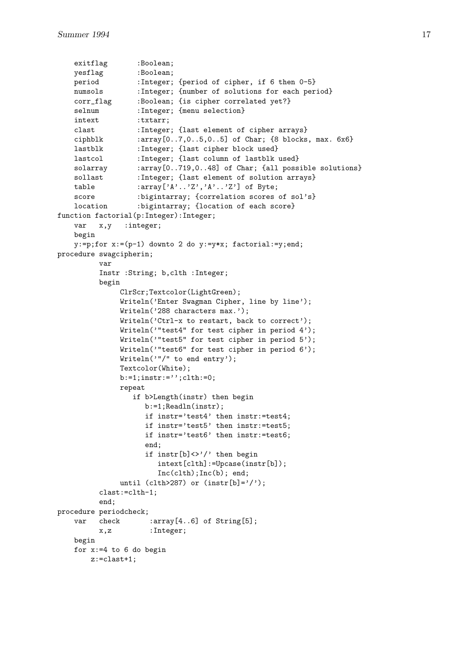```
exitflag :Boolean;
   yesflag :Boolean;
   period :Integer; {period of cipher, if 6 then 0-5}
    numsols :Integer; {number of solutions for each period}
    corr_flag :Boolean; {is cipher correlated yet?}
    selnum :Integer; {menu selection}
   intext :txtarr;
   clast :Integer; {last element of cipher arrays}
   ciphblk :array[0..7,0..5,0..5] of Char; {8 blocks, max. 6x6}
   lastblk :Integer; {last cipher block used}
   lastcol :Integer; {last column of lastblk used}
   solarray : array[0..719,0..48] of Char; {all possible solutions}
   sollast :Integer; {last element of solution arrays}
   table :array['A'.'.'.Z', 'A'.'..'Z'] of Byte;
   score :bigintarray; {correlation scores of sol's}<br>location :bigintarray; {location of each score}
                  : bigintarray; {location of each score}
function factorial(p:Integer):Integer;
   var x,y :integer;
   begin
   y:=p;for x:=(p-1) downto 2 do y:=y*x; factorial:=y;end;
procedure swagcipherin;
         var
         Instr :String; b,clth :Integer;
         begin
              ClrScr;Textcolor(LightGreen);
              Writeln('Enter Swagman Cipher, line by line');
              Writeln('288 characters max.');
              Writeln('Ctrl-x to restart, back to correct');
              Writeln('"test4" for test cipher in period 4');
              Writeln('"test5" for test cipher in period 5');
              Writeln('"test6" for test cipher in period 6');
              Writeln('"/" to end entry');
              Textcolor(White);
              b:=1;instr:='';clth:=0;
              repeat
                 if b>Length(instr) then begin
                    b:=1;Readln(instr);
                    if instr='test4' then instr:=test4;
                    if instr='test5' then instr:=test5;
                    if instr='test6' then instr:=test6;
                    end;
                    if instr[b]<>'/' then begin
                       intext[clth]:=Upcase(instr[b]);
                       Inc(clth);Inc(b); end;
              until (clth>287) or (instr[b]='/');
         clast:=clth-1;
         end;
procedure periodcheck;
   var check :array[4..6] of String[5];
         x,z :Integer;
   begin
   for x:=4 to 6 do begin
       z:=clast+1;
```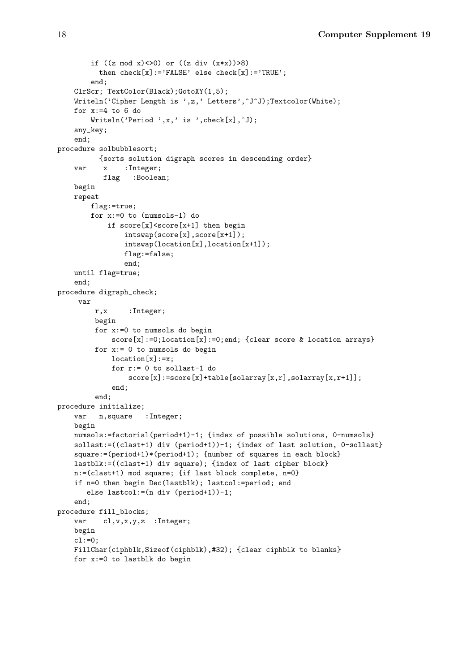```
if ((z \mod x) \le 0) or ((z \ndiv (x*x)) > 8)then check[x] := 'FALSE' else check[x] := 'TRUE';
        end;
   ClrScr; TextColor(Black);GotoXY(1,5);
   Writeln('Cipher Length is ',z,' Letters',<sup>^J^J</sup>);Textcolor(White);
   for x:=4 to 6 do
        Writeln('Period',x,' is ',check[x],\hat{J});
   any_key;
    end;
procedure solbubblesort;
          {sorts solution digraph scores in descending order}
    var x :Integer;
           flag :Boolean;
   begin
   repeat
        flag:=true;
        for x:=0 to (numsols-1) do
            if score[x]<score[x+1] then begin
                intswap(score[x],score[x+1]);
                intswap(location[x],location[x+1]);
                flag:=false;
                end;
   until flag=true;
    end;
procedure digraph_check;
     var
        r,x :Integer;
         begin
         for x:=0 to numsols do begin
             score[x]:=0;location[x]:=0;end; {clear score & location arrays}
         for x:= 0 to numsols do begin
             location[x]:=x;for r:= 0 to sollast-1 do
                 score[x]:=score[x]+table[solarray[x,r],solarray[x,r+1]];
             end;
         end;
procedure initialize;
   var n,square :Integer;
   begin
   numsols:=factorial(period+1)-1; {index of possible solutions, 0-numsols}
   sollast:=((clast+1) div (period+1))-1; {index of last solution, 0-sollast}
   square:=(period+1)*(period+1); {number of squares in each block}
   lastblk:=((clast+1) div square); {index of last cipher block}
   n:=(clast+1) mod square; {if last block complete, n=0}
   if n=0 then begin Dec(lastblk); lastcol:=period; end
       else lastcol:=(n div (period+1))-1;
    end;
procedure fill_blocks;
   var cl, v, x, y, z : Integer;
   begin
   c1:=0;FillChar(ciphblk,Sizeof(ciphblk),#32); {clear ciphblk to blanks}
   for x:=0 to lastblk do begin
```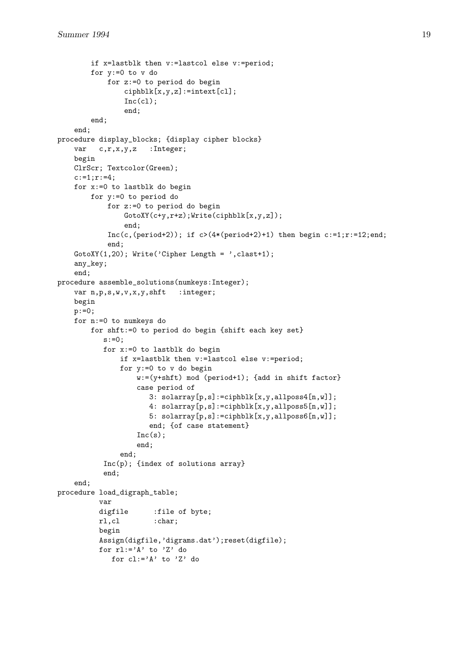```
if x=lastblk then v:=lastcol else v:=period;
        for y:=0 to v do
            for z:=0 to period do begin
                ciphblk[x,y,z]:=intext[cl];
                Inc(cl);end;
        end;
    end;
procedure display_blocks; {display cipher blocks}
    var c,r,x,y,z : Integer;
    begin
    ClrScr; Textcolor(Green);
    c:=1; r:=4;for x:=0 to lastblk do begin
        for y:=0 to period do
            for z:=0 to period do begin
                GotoXY(c+y,r+z);Write(ciphblk[x,y,z]);
                end;
            Inc(c, (period+2)); if c>(4*(period+2)+1) then begin c:=1; r:=12; end;end;
    GotoXY(1,20); Write('Cipher Length = ', clast+1);
    any_key;
    end;
procedure assemble_solutions(numkeys:Integer);
    var n,p,s,w,v,x,y,shft :integer;
    begin
    p:=0;
    for n:=0 to numkeys do
        for shft:=0 to period do begin {shift each key set}
           s := 0;for x:=0 to lastblk do begin
               if x=lastblk then v:=lastcol else v:=period;
               for y:=0 to v do begin
                   w:=(y+shft) mod (period+1); {add in shift factor}
                   case period of
                       3: \text{sdarray}[p,s]:=\text{ciphblk}[x,y,a\text{ll}poss4[n,w]];
                       4: \text{sdarray}[p,s]:=\text{ciphblk}[x,y,a\text{ll}poss5[n,w]];
                       5: solarray[p,s]:=ciphblk[x,y,allposs6[n,w]];
                       end; {of case statement}
                   Inc(s):
                   end;
               end;
           Inc(p); {index of solutions array}
           end;
    end;
procedure load_digraph_table;
          var
          digfile :file of byte;
          rl,cl :char;
          begin
          Assign(digfile,'digrams.dat');reset(digfile);
          for rl:='A' to 'Z' do
             for cl:='A' to 'Z' do
```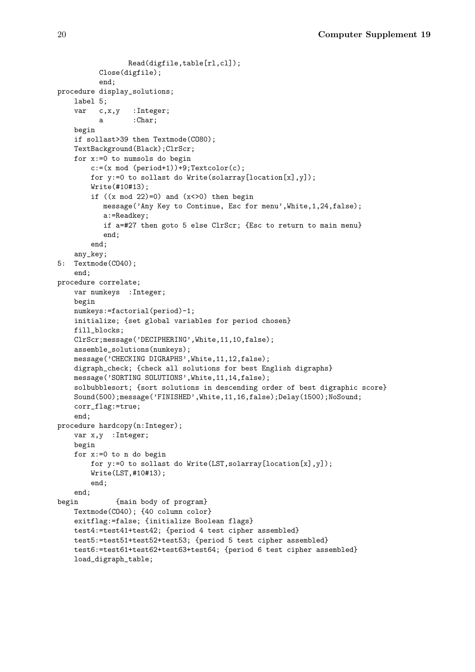```
Read(digfile,table[rl,cl]);
         Close(digfile);
         end;
procedure display_solutions;
   label 5;
   var c,x,y :Integer;
         a :Char;
   begin
   if sollast>39 then Textmode(CO80);
   TextBackground(Black);ClrScr;
   for x:=0 to numsols do begin
        c:=(x mod (period+1))+9;Textcolor(c);
       for y:=0 to sollast do Write(solarray[location[x],y]);
       Write(#10#13);
        if ((x \mod 22)=0) and (x<0) then begin
          message('Any Key to Continue, Esc for menu',White,1,24,false);
          a:=Readkey;
          if a=#27 then goto 5 else ClrScr; {Esc to return to main menu}
          end;
        end;
    any_key;
5: Textmode(CO40);
    end;
procedure correlate;
   var numkeys :Integer;
   begin
   numkeys:=factorial(period)-1;
    initialize; {set global variables for period chosen}
   fill_blocks;
   ClrScr;message('DECIPHERING',White,11,10,false);
   assemble_solutions(numkeys);
   message('CHECKING DIGRAPHS',White,11,12,false);
   digraph_check; {check all solutions for best English digraphs}
   message('SORTING SOLUTIONS',White,11,14,false);
   solbubblesort; {sort solutions in descending order of best digraphic score}
   Sound(500);message('FINISHED',White,11,16,false);Delay(1500);NoSound;
   corr_flag:=true;
    end;
procedure hardcopy(n:Integer);
    var x,y :Integer;
   begin
   for x:=0 to n do begin
       for y:=0 to sollast do Write(LST,solarray[location[x],y]);
       Write(LST,#10#13);
        end;
   end;
begin {main body of program}
   Textmode(CO40); {40 column color}
   exitflag:=false; {initialize Boolean flags}
   test4:=test41+test42; {period 4 test cipher assembled}
   test5:=test51+test52+test53; {period 5 test cipher assembled}
   test6:=test61+test62+test63+test64; {period 6 test cipher assembled}
   load_digraph_table;
```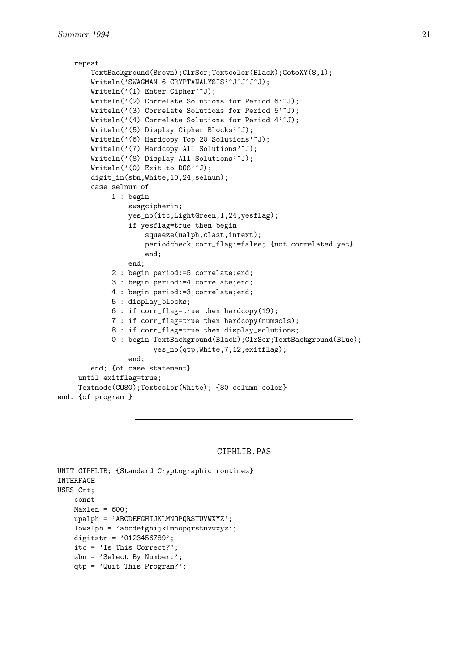```
repeat
        TextBackground(Brown);ClrScr;Textcolor(Black);GotoXY(8,1);
        Writeln('SWAGMAN 6 CRYPTANALYSIS'~J^J^J^J);
        Writeln('(1) Enter Cipher'<sup>-</sup>J);
        Writeln('(2) Correlate Solutions for Period 6');
        Writeln('(3) Correlate Solutions for Period 5');
        Writeln('(4) Correlate Solutions for Period 4');
        Writeln('(5) Display Cipher Blocks'^J);
        Writeln('(6) Hardcopy Top 20 Solutions'<sup>o</sup>J);
        Writeln('(7) Hardcopy All Solutions'^J);
        Writeln('(8) Display All Solutions'<sup>o</sup>J);
        Writeln('(0) Exit to DOS'<sup>o</sup>J);
        digit_in(sbn,White,10,24,selnum);
        case selnum of
             1 : begin
                 swagcipherin;
                 yes_no(itc,LightGreen,1,24,yesflag);
                 if yesflag=true then begin
                      squeeze(ualph,clast,intext);
                      periodcheck;corr_flag:=false; {not correlated yet}
                      end;
                 end;
             2 : begin period:=5;correlate;end;
             3 : begin period:=4;correlate;end;
             4 : begin period:=3;correlate;end;
             5 : display_blocks;
             6 : if corr_flag=true then hardcopy(19);
             7 : if corr_flag=true then hardcopy(numsols);
             8 : if corr_flag=true then display_solutions;
             0 : begin TextBackground(Black);ClrScr;TextBackground(Blue);
                        yes_no(qtp,White,7,12,exitflag);
                 end;
        end; {of case statement}
     until exitflag=true;
     Textmode(CO80);Textcolor(White); {80 column color}
end. {of program }
```
#### CIPHLIB.PAS

```
UNIT CIPHLIB; {Standard Cryptographic routines}
INTERFACE
USES Crt;
   const
   Maxlen = 600;upalph = 'ABCDEFGHIJKLMNOPQRSTUVWXYZ';
   lowalph = 'abcdefghijklmnopqrstuvwxyz';
   digitstr = '0123456789';
   itc = 'Is This Correct?';
   sbn = 'Select By Number:';
   qtp = 'Quit This Program?';
```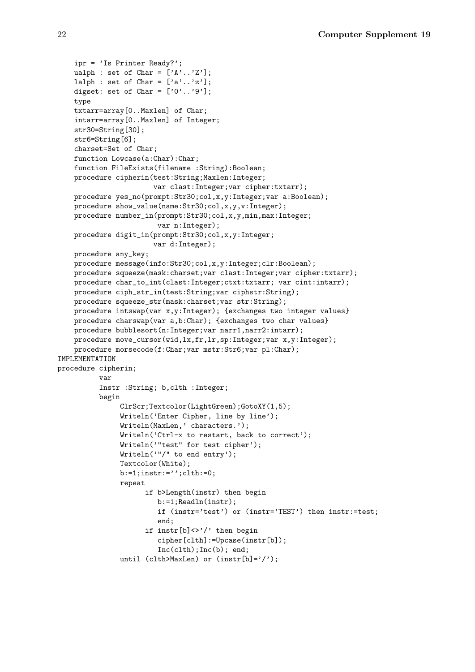```
ipr = 'Is Printer Ready?';
   ualph : set of Char = ['A'.'.'Z'];
   lalph : set of Char = ['a'..'z'];
   digset: set of Char = [0, 0, 0, 9, 0];
   type
   txtarr=array[0..Maxlen] of Char;
    intarr=array[0..Maxlen] of Integer;
    str30=String[30];
   str6=String[6];
   charset=Set of Char;
   function Lowcase(a:Char):Char;
   function FileExists(filename :String):Boolean;
   procedure cipherin(test:String;Maxlen:Integer;
                       var clast:Integer;var cipher:txtarr);
   procedure yes_no(prompt:Str30;col,x,y:Integer;var a:Boolean);
   procedure show_value(name:Str30;col,x,y,v:Integer);
   procedure number_in(prompt:Str30;col,x,y,min,max:Integer;
                        var n:Integer);
   procedure digit_in(prompt:Str30;col,x,y:Integer;
                       var d:Integer);
   procedure any_key;
   procedure message(info:Str30;col,x,y:Integer;clr:Boolean);
   procedure squeeze(mask:charset;var clast:Integer;var cipher:txtarr);
   procedure char_to_int(clast:Integer;ctxt:txtarr; var cint:intarr);
   procedure ciph_str_in(test:String;var ciphstr:String);
   procedure squeeze_str(mask:charset;var str:String);
   procedure intswap(var x,y:Integer); {exchanges two integer values}
   procedure charswap(var a,b:Char); {exchanges two char values}
   procedure bubblesort(n:Integer;var narr1,narr2:intarr);
   procedure move_cursor(wid,lx,fr,lr,sp:Integer;var x,y:Integer);
   procedure morsecode(f:Char;var mstr:Str6;var pl:Char);
IMPLEMENTATION
procedure cipherin;
          var
          Instr :String; b,clth :Integer;
          begin
               ClrScr;Textcolor(LightGreen);GotoXY(1,5);
               Writeln('Enter Cipher, line by line');
               Writeln(MaxLen,' characters.');
               Writeln('Ctrl-x to restart, back to correct');
               Writeln('"test" for test cipher');
               Writeln('"/" to end entry');
               Textcolor(White);
               b:=1;instr:='';clth:=0;
               repeat
                     if b>Length(instr) then begin
                        b:=1;Readln(instr);
                        if (instr='test') or (instr='TEST') then instr:=test;
                        end;
                     if instr[b] \ll\!\!!\prime\prime then begin
                        cipher[clth]:=Upcase(instr[b]);
                        Inc(clth);Inc(b); end;
               until (clth>MaxLen) or (instr[b]='/');
```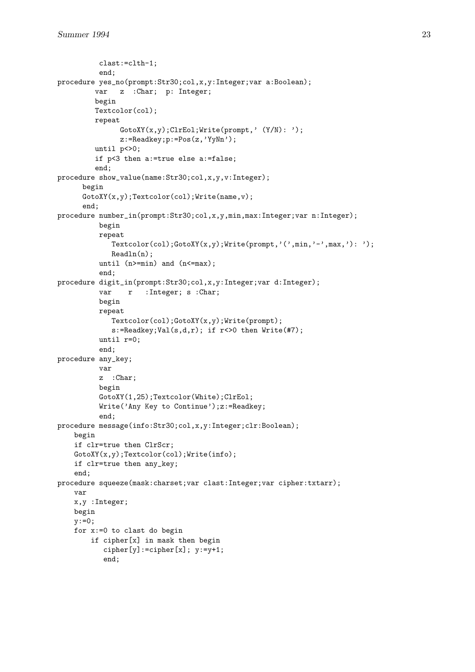```
clast:=clth-1;
          end;
procedure yes_no(prompt:Str30;col,x,y:Integer;var a:Boolean);
         var z : Char; p: Integer;
         begin
         Textcolor(col);
         repeat
               GotoXY(x,y);ClrEol;Write(prompt,' (Y/N):');
               z:=Readkey;p:=Pos(z,'YyNn');
         until p < 0;
         if p<3 then a:=true else a:=false;
         end;
procedure show_value(name:Str30;col,x,y,v:Integer);
      begin
      GotoXY(x,y);Textcolor(col);Write(name,v);
      end;
procedure number_in(prompt:Str30;col,x,y,min,max:Integer;var n:Integer);
          begin
          repeat
             Textcolor(col);GotoXY(x,y);Write(prompt,'(',min,'-',max,'): ');
             Readln(n):
          until (n>=min) and (n<=max);
          end;
procedure digit_in(prompt:Str30;col,x,y:Integer;var d:Integer);
          var r : Integer; s : Char;
          begin
          repeat
             Textcolor(col);GotoXY(x,y);Write(prompt);
             s:=Readkey;Val(s,d,r); if r <> 0 then Write(#7);
          until r=0;
          end;
procedure any_key;
          var
          z :Char;
          begin
          GotoXY(1,25);Textcolor(White);ClrEol;
          Write('Any Key to Continue');z:=Readkey;
          end;
procedure message(info:Str30;col,x,y:Integer;clr:Boolean);
    begin
    if clr=true then ClrScr;
    GotoXY(x,y);Textcolor(col);Write(info);
    if clr=true then any_key;
    end;
procedure squeeze(mask:charset;var clast:Integer;var cipher:txtarr);
    var
    x,y :Integer;
    begin
    y := 0;for x:=0 to clast do begin
        if cipher[x] in mask then begin
           cipher[y]:=cipher[x]; y:=y+1;
           end;
```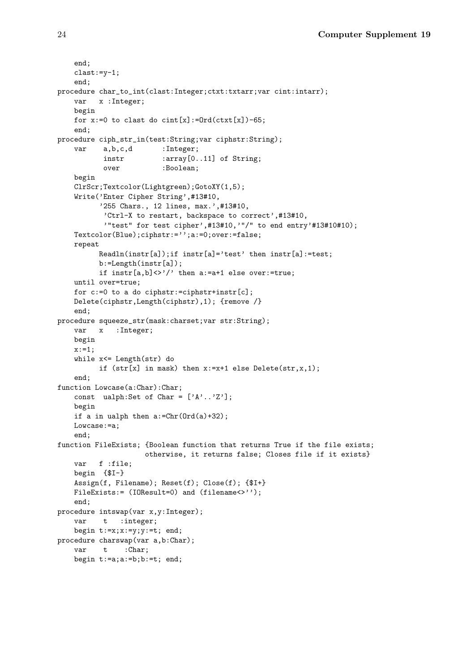```
end;
    clast:=y-1;
    end;
procedure char_to_int(clast:Integer;ctxt:txtarr;var cint:intarr);
   var x :Integer;
   begin
   for x:=0 to clast do \text{cint}[x]:=\text{Ord}(\text{ctxt}[x])-\text{65};end;
procedure ciph_str_in(test:String;var ciphstr:String);
   var a,b,c,d :Integer;
           instr :array[0..11] of String;
           over :Boolean;
   begin
   ClrScr;Textcolor(Lightgreen);GotoXY(1,5);
   Write('Enter Cipher String',#13#10,
          '255 Chars., 12 lines, max.',#13#10,
           'Ctrl-X to restart, backspace to correct',#13#10,
           '"test" for test cipher',#13#10,'"/" to end entry'#13#10#10);
   Textcolor(Blue);ciphstr:='';a:=0;over:=false;
   repeat
          Readln(instr[a]);if instr[a]='test' then instr[a]:=test;
          b:=Length(instr[a]);
          if instr[a,b] \ll 2 then a:=a+1 else over:=true;
   until over=true;
   for c:=0 to a do ciphstr:=ciphstr+instr[c];
   Delete(ciphstr,Length(ciphstr),1); {remove /}
   end;
procedure squeeze_str(mask:charset;var str:String);
   var x :Integer;
   begin
   x := 1;while x<= Length(str) do
         if (str[x] in mask) then x:=x+1 else Delete(str,x, 1);
    end;
function Lowcase(a:Char):Char;
   const ualph:Set of Char = ['A', . .'Z'];
   begin
   if a in ualph then a:=Chr(Ord(a)+32);
   Lowcase:=a;
    end;
function FileExists; {Boolean function that returns True if the file exists;
                     otherwise, it returns false; Closes file if it exists}
   var f :file;
   begin {$I-}
   Assign(f, Filename); Reset(f); Close(f); {$I+}
   FileExists:= (IOResult=0) and (filename<>'');
    end;
procedure intswap(var x,y:Integer);
   var t :integer;
   begin t:=x; x:=y; y:=t; end;
procedure charswap(var a,b:Char);
   var t :Char;
   begin t:=a;a:=b;b:=t; end;
```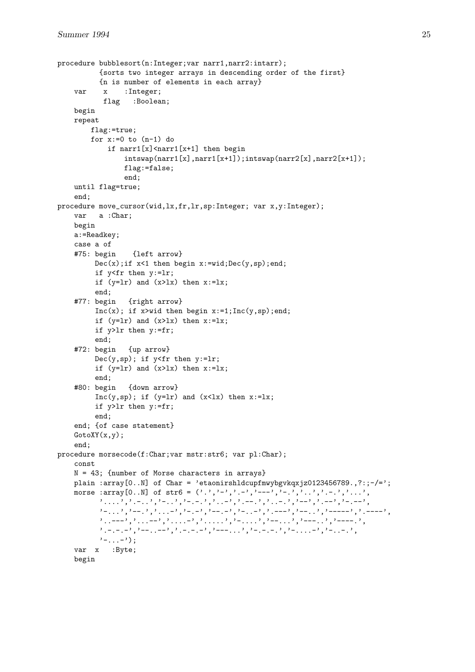```
procedure bubblesort(n:Integer;var narr1,narr2:intarr);
          {sorts two integer arrays in descending order of the first}
          {n is number of elements in each array}
    var x :Integer;
           flag :Boolean;
    begin
    repeat
        flag:=true;
        for x:=0 to (n-1) do
            if narr1[x]<narr1[x+1] then begin
                intswap(narr1[x],narr1[x+1]);;intswap(narr2[x],narr2[x+1]);flag:=false;
                end;
    until flag=true;
    end;
procedure move_cursor(wid,lx,fr,lr,sp:Integer; var x,y:Integer);
    var a :Char;
    begin
    a:=Readkey;
    case a of
    #75: begin {left arrow}
         Dec(x);if x<1 then begin x:=wid; Dec(y,sp);end;
         if y<fr then y:=lr;
         if (y=lr) and (x>lx) then x:=lx;
         end;
    #77: begin {right arrow}
         Inc(x); if x\geqwid then begin x:=1;Inc(y,sp);end;
         if (y=lr) and (x>lx) then x:=lx;
         if y>lr then y:=fr;
         end;
    #72: begin {up arrow}
         Dec(y, sp); if y \leq fr then y := lr;
         if (y=lr) and (x>lx) then x:=lx;
         end;
    #80: begin {down arrow}
         Inc(y, sp); if (y=lr) and (x<lx) then x:=lx;
         if y>lr then y:=fr;
         end;
    end; {of case statement}
    GotoXY(x,y);end;
procedure morsecode(f:Char;var mstr:str6; var pl:Char);
    const
    N = 43; {number of Morse characters in arrays}
    plain :array[0..N] of Char = 'etaonirshldcupfmwybgvkqxjz0123456789., ?:;-/=';
    morse :array[0..N] of str6 = ('.','-','.-','---','-.','..','.-.','...',
          , '---', ', --', ', '--', ', '--', ', '--', ', '--', ', '--', ', '--', ', '--', ', '-.-', , '-.-', ,
          '-...','.---','...-','-.-','---','-..-','.---','.---','.---','.----','.----','.
          '..---','...--','....-','.....','-....','--...','.---..',
          '.-.-.<sup>1</sup>,'-..-','.-.-','.-.-.','.---','','-.-..',''-....<sup>1</sup>,'-....',
          '-...-');
    var x :Byte;
    begin
```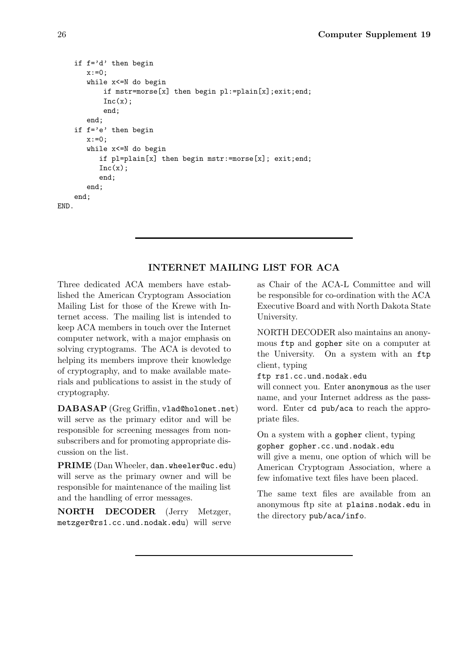```
if f='d' then begin
       x:0:
       while x<=N do begin
           if mstr=morse[x] then begin pl:=plain[x];exit;end;
           Inc(x):
           end;
       end;
    if f='e' then begin
       x := 0;
       while x<=N do begin
          if pl=plain[x] then begin mstr:=morse[x]; exit;end;
          Inc(x);end;
       end;
    end;
END.
```
# **INTERNET MAILING LIST FOR ACA**

Three dedicated ACA members have established the American Cryptogram Association Mailing List for those of the Krewe with Internet access. The mailing list is intended to keep ACA members in touch over the Internet computer network, with a major emphasis on solving cryptograms. The ACA is devoted to helping its members improve their knowledge of cryptography, and to make available materials and publications to assist in the study of cryptography.

**DABASAP** (Greg Griffin, vlad@holonet.net) will serve as the primary editor and will be responsible for screening messages from nonsubscribers and for promoting appropriate discussion on the list.

**PRIME** (Dan Wheeler, dan.wheeler@uc.edu) will serve as the primary owner and will be responsible for maintenance of the mailing list and the handling of error messages.

**NORTH DECODER** (Jerry Metzger, metzger@rs1.cc.und.nodak.edu) will serve as Chair of the ACA-L Committee and will be responsible for co-ordination with the ACA Executive Board and with North Dakota State University.

NORTH DECODER also maintains an anonymous ftp and gopher site on a computer at the University. On a system with an ftp client, typing

ftp rs1.cc.und.nodak.edu

will connect you. Enter anonymous as the user name, and your Internet address as the password. Enter cd pub/aca to reach the appropriate files.

On a system with a gopher client, typing gopher gopher.cc.und.nodak.edu

will give a menu, one option of which will be American Cryptogram Association, where a few infomative text files have been placed.

The same text files are available from an anonymous ftp site at plains.nodak.edu in the directory pub/aca/info.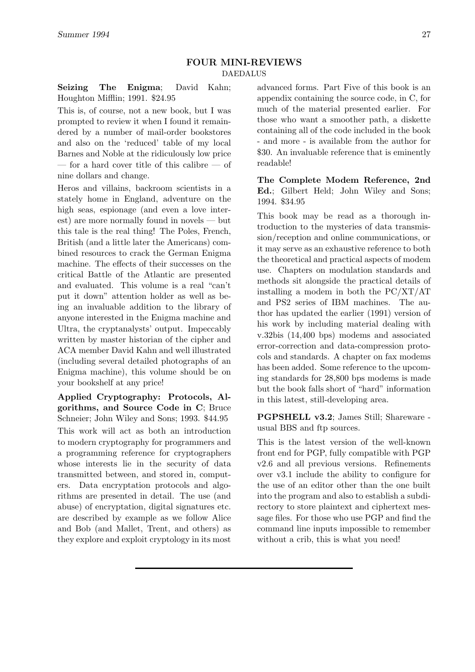## **FOUR MINI-REVIEWS** DAEDALUS

**Seizing The Enigma**; David Kahn; Houghton Mifflin; 1991. \$24.95

This is, of course, not a new book, but I was prompted to review it when I found it remaindered by a number of mail-order bookstores and also on the 'reduced' table of my local Barnes and Noble at the ridiculously low price — for a hard cover title of this calibre — of nine dollars and change.

Heros and villains, backroom scientists in a stately home in England, adventure on the high seas, espionage (and even a love interest) are more normally found in novels — but this tale is the real thing! The Poles, French, British (and a little later the Americans) combined resources to crack the German Enigma machine. The effects of their successes on the critical Battle of the Atlantic are presented and evaluated. This volume is a real "can't put it down" attention holder as well as being an invaluable addition to the library of anyone interested in the Enigma machine and Ultra, the cryptanalysts' output. Impeccably written by master historian of the cipher and ACA member David Kahn and well illustrated (including several detailed photographs of an Enigma machine), this volume should be on your bookshelf at any price!

**Applied Cryptography: Protocols, Algorithms, and Source Code in C**; Bruce Schneier; John Wiley and Sons; 1993. \$44.95 This work will act as both an introduction to modern cryptography for programmers and a programming reference for cryptographers whose interests lie in the security of data transmitted between, and stored in, computers. Data encryptation protocols and algorithms are presented in detail. The use (and abuse) of encryptation, digital signatures etc. are described by example as we follow Alice and Bob (and Mallet, Trent, and others) as they explore and exploit cryptology in its most advanced forms. Part Five of this book is an appendix containing the source code, in C, for much of the material presented earlier. For those who want a smoother path, a diskette containing all of the code included in the book - and more - is available from the author for \$30. An invaluable reference that is eminently readable!

**The Complete Modem Reference, 2nd Ed.**; Gilbert Held; John Wiley and Sons; 1994. \$34.95

This book may be read as a thorough introduction to the mysteries of data transmission/reception and online communications, or it may serve as an exhaustive reference to both the theoretical and practical aspects of modem use. Chapters on modulation standards and methods sit alongside the practical details of installing a modem in both the PC/XT/AT and PS2 series of IBM machines. The author has updated the earlier (1991) version of his work by including material dealing with v.32bis (14,400 bps) modems and associated error-correction and data-compression protocols and standards. A chapter on fax modems has been added. Some reference to the upcoming standards for 28,800 bps modems is made but the book falls short of "hard" information in this latest, still-developing area.

**PGPSHELL v3.2**; James Still; Shareware usual BBS and ftp sources.

This is the latest version of the well-known front end for PGP, fully compatible with PGP v2.6 and all previous versions. Refinements over v3.1 include the ability to configure for the use of an editor other than the one built into the program and also to establish a subdirectory to store plaintext and ciphertext message files. For those who use PGP and find the command line inputs impossible to remember without a crib, this is what you need!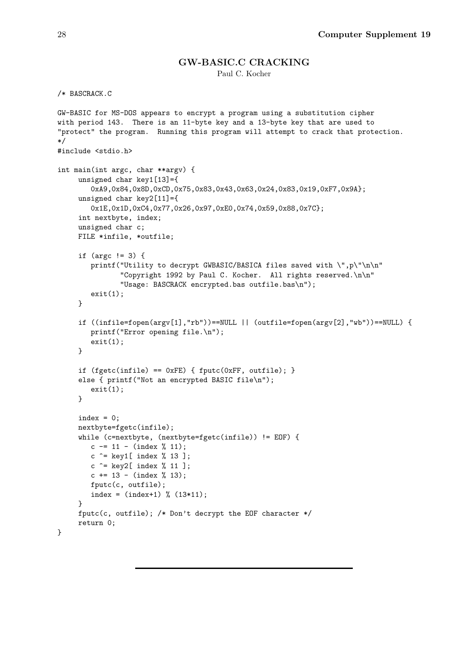## **GW-BASIC.C CRACKING**

Paul C. Kocher

```
/* BASCRACK.C
GW-BASIC for MS-DOS appears to encrypt a program using a substitution cipher
with period 143. There is an 11-byte key and a 13-byte key that are used to
"protect" the program. Running this program will attempt to crack that protection.
*/
#include <stdio.h>
int main(int argc, char **argv) {
     unsigned char key1[13]={
        0xA9,0x84,0x8D,0xCD,0x75,0x83,0x43,0x63,0x24,0x83,0x19,0xF7,0x9A};
     unsigned char key2[11]={
       0x1E,0x1D,0xC4,0x77,0x26,0x97,0xE0,0x74,0x59,0x88,0x7C};
     int nextbyte, index;
     unsigned char c;
     FILE *infile, *outfile;
     if (argc != 3) {
        printf("Utility to decrypt GWBASIC/BASICA files saved with \",p\"\n\n"
               "Copyright 1992 by Paul C. Kocher. All rights reserved.\n\n"
               "Usage: BASCRACK encrypted.bas outfile.bas\n");
        exit(1):\mathbf{r}if ((infile=fopen(argv[1],"rb"))==NULL || (outfile=fopen(argv[2],"wb"))==NULL) {
        printf("Error opening file.\n");
        exit(1);}
     if (fgetc(infile) == 0xFE) { fputc(0xFF, outfile); }
     else { printf("Not an encrypted BASIC file\n");
        exit(1);
     }
     index = 0;nextbyte=fgetc(infile);
     while (c=nextbyte, (nextbyte=fgetc(infile)) != EOF) {
        c = 11 - (index % 11);c ^= key1[ index % 13 ];
        c \hat{c} = key2[ index % 11 ];
        c += 13 - (index \% 13);
        fputc(c, outfile);
        index = (index + 1) % (13*11);}
     fputc(c, outfile); /* Don't decrypt the EOF character */return 0;
}
```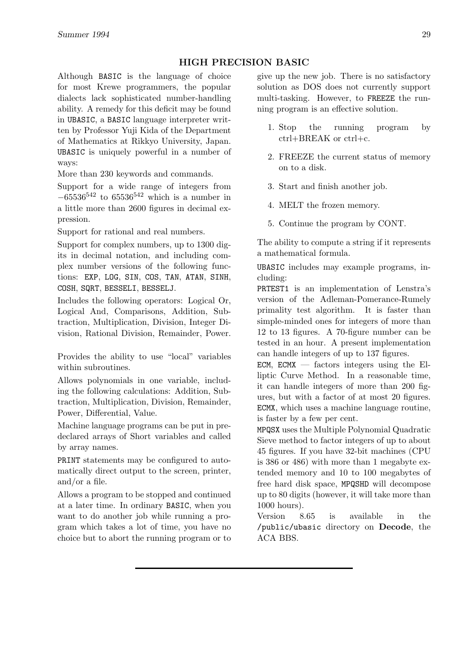# **HIGH PRECISION BASIC**

Although BASIC is the language of choice for most Krewe programmers, the popular dialects lack sophisticated number-handling ability. A remedy for this deficit may be found in UBASIC, a BASIC language interpreter written by Professor Yuji Kida of the Department of Mathematics at Rikkyo University, Japan. UBASIC is uniquely powerful in a number of ways:

More than 230 keywords and commands.

Support for a wide range of integers from *<sup>−</sup>*65536<sup>542</sup> to 65536<sup>542</sup> which is a number in a little more than 2600 figures in decimal expression.

Support for rational and real numbers.

Support for complex numbers, up to 1300 digits in decimal notation, and including complex number versions of the following functions: EXP, LOG, SIN, COS, TAN, ATAN, SINH, COSH, SQRT, BESSELI, BESSELJ.

Includes the following operators: Logical Or, Logical And, Comparisons, Addition, Subtraction, Multiplication, Division, Integer Division, Rational Division, Remainder, Power.

Provides the ability to use "local" variables within subroutines.

Allows polynomials in one variable, including the following calculations: Addition, Subtraction, Multiplication, Division, Remainder, Power, Differential, Value.

Machine language programs can be put in predeclared arrays of Short variables and called by array names.

PRINT statements may be configured to automatically direct output to the screen, printer, and/or a file.

Allows a program to be stopped and continued at a later time. In ordinary BASIC, when you want to do another job while running a program which takes a lot of time, you have no choice but to abort the running program or to give up the new job. There is no satisfactory solution as DOS does not currently support multi-tasking. However, to FREEZE the running program is an effective solution.

- 1. Stop the running program by ctrl+BREAK or ctrl+c.
- 2. FREEZE the current status of memory on to a disk.
- 3. Start and finish another job.
- 4. MELT the frozen memory.
- 5. Continue the program by CONT.

The ability to compute a string if it represents a mathematical formula.

UBASIC includes may example programs, including:

PRTEST1 is an implementation of Lenstra's version of the Adleman-Pomerance-Rumely primality test algorithm. It is faster than simple-minded ones for integers of more than 12 to 13 figures. A 70-figure number can be tested in an hour. A present implementation can handle integers of up to 137 figures.

ECM, ECMX  $-$  factors integers using the Elliptic Curve Method. In a reasonable time, it can handle integers of more than 200 figures, but with a factor of at most 20 figures. ECMX, which uses a machine language routine, is faster by a few per cent.

MPQSX uses the Multiple Polynomial Quadratic Sieve method to factor integers of up to about 45 figures. If you have 32-bit machines (CPU is 386 or 486) with more than 1 megabyte extended memory and 10 to 100 megabytes of free hard disk space, MPQSHD will decompose up to 80 digits (however, it will take more than 1000 hours).

Version 8.65 is available in the /public/ubasic directory on **Decode**, the ACA BBS.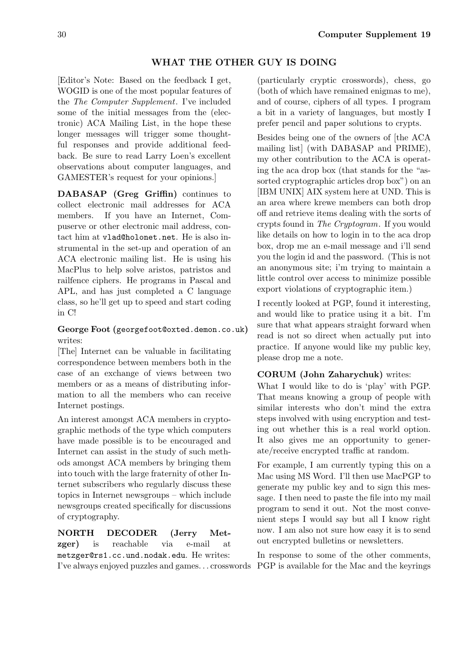# **WHAT THE OTHER GUY IS DOING**

[Editor's Note: Based on the feedback I get, WOGID is one of the most popular features of the *The Computer Supplement*. I've included some of the initial messages from the (electronic) ACA Mailing List, in the hope these longer messages will trigger some thoughtful responses and provide additional feedback. Be sure to read Larry Loen's excellent observations about computer languages, and GAMESTER's request for your opinions.]

**DABASAP (Greg Griffin)** continues to collect electronic mail addresses for ACA members. If you have an Internet, Compuserve or other electronic mail address, contact him at vlad@holonet.net. He is also instrumental in the set-up and operation of an ACA electronic mailing list. He is using his MacPlus to help solve aristos, patristos and railfence ciphers. He programs in Pascal and APL, and has just completed a C language class, so he'll get up to speed and start coding in C!

# **George Foot (**georgefoot@oxted.demon.co.uk**)** writes:

[The] Internet can be valuable in facilitating correspondence between members both in the case of an exchange of views between two members or as a means of distributing information to all the members who can receive Internet postings.

An interest amongst ACA members in cryptographic methods of the type which computers have made possible is to be encouraged and Internet can assist in the study of such methods amongst ACA members by bringing them into touch with the large fraternity of other Internet subscribers who regularly discuss these topics in Internet newsgroups – which include newsgroups created specifically for discussions of cryptography.

**NORTH DECODER (Jerry Metzger)** is reachable via e-mail at metzger@rs1.cc.und.nodak.edu. He writes:

(particularly cryptic crosswords), chess, go (both of which have remained enigmas to me), and of course, ciphers of all types. I program a bit in a variety of languages, but mostly I prefer pencil and paper solutions to crypts.

Besides being one of the owners of [the ACA mailing list] (with DABASAP and PRIME), my other contribution to the ACA is operating the aca drop box (that stands for the "assorted cryptographic articles drop box") on an [IBM UNIX] AIX system here at UND. This is an area where krewe members can both drop off and retrieve items dealing with the sorts of crypts found in *The Cryptogram*. If you would like details on how to login in to the aca drop box, drop me an e-mail message and i'll send you the login id and the password. (This is not an anonymous site; i'm trying to maintain a little control over access to minimize possible export violations of cryptographic item.)

I recently looked at PGP, found it interesting, and would like to pratice using it a bit. I'm sure that what appears straight forward when read is not so direct when actually put into practice. If anyone would like my public key, please drop me a note.

## **CORUM (John Zaharychuk)** writes:

What I would like to do is 'play' with PGP. That means knowing a group of people with similar interests who don't mind the extra steps involved with using encryption and testing out whether this is a real world option. It also gives me an opportunity to generate/receive encrypted traffic at random.

For example, I am currently typing this on a Mac using MS Word. I'll then use MacPGP to generate my public key and to sign this message. I then need to paste the file into my mail program to send it out. Not the most convenient steps I would say but all I know right now. I am also not sure how easy it is to send out encrypted bulletins or newsletters.

I've always enjoyed puzzles and games. . . crosswords PGP is available for the Mac and the keyringsIn response to some of the other comments,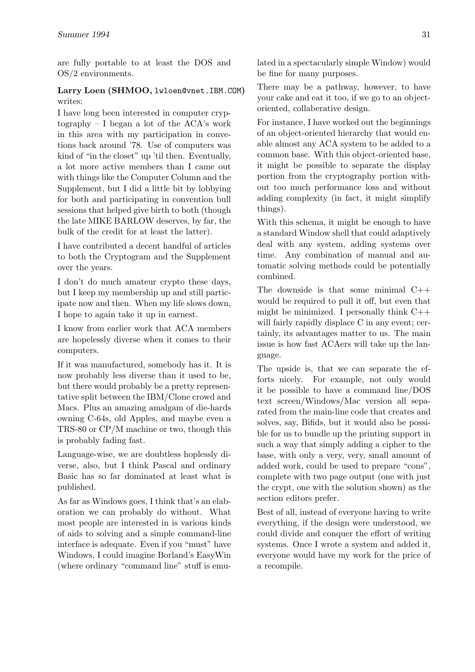are fully portable to at least the DOS and OS/2 environments.

# **Larry Loen (SHMOO,** lwloen@vnet.IBM.COM**)** writes:

I have long been interested in computer cryptography – I began a lot of the ACA's work in this area with my participation in convetions back around '78. Use of computers was kind of "in the closet" up 'til then. Eventually, a lot more active members than I came out with things like the Computer Column and the Supplement, but I did a little bit by lobbying for both and participating in convention bull sessions that helped give birth to both (though the late MIKE BARLOW deserves, by far, the bulk of the credit for at least the latter).

I have contributed a decent handful of articles to both the Cryptogram and the Supplement over the years.

I don't do much amateur crypto these days, but I keep my membership up and still participate now and then. When my life slows down, I hope to again take it up in earnest.

I know from earlier work that ACA members are hopelessly diverse when it comes to their computers.

If it was manufactured, somebody has it. It is now probably less diverse than it used to be, but there would probably be a pretty representative split between the IBM/Clone crowd and Macs. Plus an amazing amalgam of die-hards owning C-64s, old Apples, and maybe even a TRS-80 or CP/M machine or two, though this is probably fading fast.

Language-wise, we are doubtless hoplessly diverse, also, but I think Pascal and ordinary Basic has so far dominated at least what is published.

As far as Windows goes, I think that's an elaboration we can probably do without. What most people are interested in is various kinds of aids to solving and a simple command-line interface is adequate. Even if you "must" have Windows, I could imagine Borland's EasyWin (where ordinary "command line" stuff is emulated in a spectacularly simple Window) would be fine for many purposes.

There may be a pathway, however, to have your cake and eat it too, if we go to an objectoriented, collaberative design.

For instance, I have worked out the beginnings of an object-oriented hierarchy that would enable almost any ACA system to be added to a common base. With this object-oriented base, it might be possible to separate the display portion from the cryptography portion without too much performance loss and without adding complexity (in fact, it might simplify things).

With this schema, it might be enough to have a standard Window shell that could adaptively deal with any system, adding systems over time. Any combination of manual and automatic solving methods could be potentially combined.

The downside is that some minimal C++ would be required to pull it off, but even that might be minimized. I personally think C++ will fairly rapidly displace C in any event; certainly, its advantages matter to us. The main issue is how fast ACAers will take up the language.

The upside is, that we can separate the efforts nicely. For example, not only would it be possible to have a command line/DOS text screen/Windows/Mac version all separated from the main-line code that creates and solves, say, Bifids, but it would also be possible for us to bundle up the printing support in such a way that simply adding a cipher to the base, with only a very, very, small amount of added work, could be used to prepare "cons", complete with two page output (one with just the crypt, one with the solution shown) as the section editors prefer.

Best of all, instead of everyone having to write everything, if the design were understood, we could divide and conquer the effort of writing systems. Once I wrote a system and added it, everyone would have my work for the price of a recompile.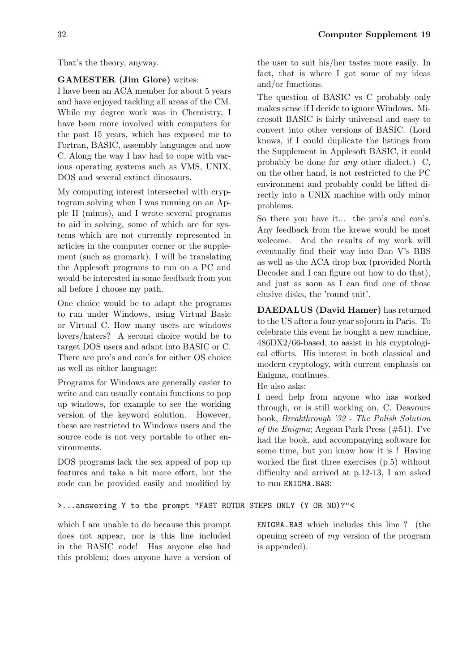That's the theory, anyway.

# **GAMESTER (Jim Glore)** writes:

I have been an ACA member for about 5 years and have enjoyed tackling all areas of the CM. While my degree work was in Chemistry, I have been more involved with computers for the past 15 years, which has exposed me to Fortran, BASIC, assembly languages and now C. Along the way I hav had to cope with various operating systems such as VMS, UNIX, DOS and several extinct dinosaurs.

My computing interest intersected with cryptogram solving when I was running on an Apple II (minus), and I wrote several programs to aid in solving, some of which are for systems which are not currently represented in articles in the computer corner or the supplement (such as gromark). I will be translating the Applesoft programs to run on a PC and would be interested in some feedback from you all before I choose my path.

One choice would be to adapt the programs to run under Windows, using Virtual Basic or Virtual C. How many users are windows lovers/haters? A second choice would be to target DOS users and adapt into BASIC or C. There are pro's and con's for either OS choice as well as either language:

Programs for Windows are generally easier to write and can usually contain functions to pop up windows, for example to see the working version of the keyword solution. However, these are restricted to Windows users and the source code is not very portable to other environments.

DOS programs lack the sex appeal of pop up features and take a bit more effort, but the code can be provided easily and modified by

>...answering Y to the prompt "FAST ROTOR STEPS ONLY (Y OR NO)?"<

which I am unable to do because this prompt does not appear, nor is this line included in the BASIC code! Has anyone else had this problem; does anyone have a version of the user to suit his/her tastes more easily. In fact, that is where I got some of my ideas and/or functions.

The question of BASIC vs C probably only makes sense if I decide to ignore Windows. Microsoft BASIC is fairly universal and easy to convert into other versions of BASIC. (Lord knows, if I could duplicate the listings from the Supplement in Applesoft BASIC, it could probably be done for *any* other dialect.) C, on the other hand, is not restricted to the PC environment and probably could be lifted directly into a UNIX machine with only minor problems.

So there you have it... the pro's and con's. Any feedback from the krewe would be most welcome. And the results of my work will eventually find their way into Dan V's BBS as well as the ACA drop box (provided North Decoder and I can figure out how to do that), and just as soon as I can find one of those elusive disks, the 'round tuit'.

**DAEDALUS (David Hamer)** has returned to the US after a four-year sojourn in Paris. To celebrate this event he bought a new machine, 486DX2/66-based, to assist in his cryptological efforts. His interest in both classical and modern cryptology, with current emphasis on Enigma, continues.

He also asks:

I need help from anyone who has worked through, or is still working on, C. Deavours book, *Breakthrough '32 - The Polish Solution of the Enigma*; Aegean Park Press (#51). I've had the book, and accompanying software for some time, but you know how it is ! Having worked the first three exercises (p.5) without difficulty and arrived at p.12-13, I am asked to run ENIGMA.BAS:

ENIGMA.BAS which includes this line ? (the opening screen of *my* version of the program is appended).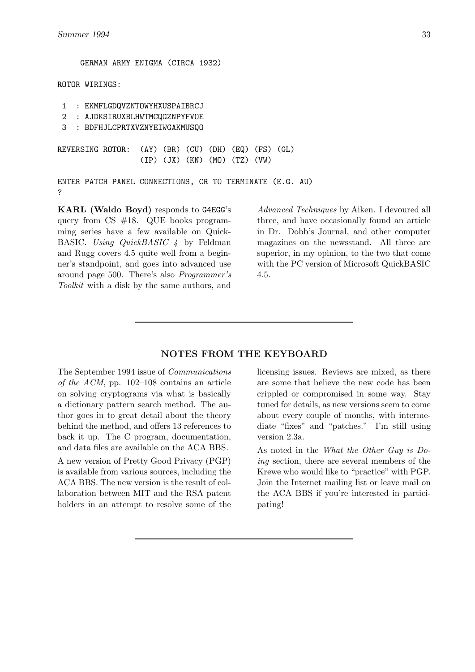?

GERMAN ARMY ENIGMA (CIRCA 1932) ROTOR WIRINGS: 1 : EKMFLGDQVZNTOWYHXUSPAIBRCJ 2 : AJDKSIRUXBLHWTMCQGZNPYFVOE 3 : BDFHJLCPRTXVZNYEIWGAKMUSQO REVERSING ROTOR: (AY) (BR) (CU) (DH) (EQ) (FS) (GL) (IP) (JX) (KN) (MO) (TZ) (VW) ENTER PATCH PANEL CONNECTIONS, CR TO TERMINATE (E.G. AU)

**KARL (Waldo Boyd)** responds to G4EGG's query from CS #18. QUE books programming series have a few available on Quick-BASIC. *Using QuickBASIC 4* by Feldman and Rugg covers 4.5 quite well from a beginner's standpoint, and goes into advanced use around page 500. There's also *Programmer's Toolkit* with a disk by the same authors, and

*Advanced Techniques* by Aiken. I devoured all three, and have occasionally found an article in Dr. Dobb's Journal, and other computer magazines on the newsstand. All three are superior, in my opinion, to the two that come with the PC version of Microsoft QuickBASIC 4.5.

## **NOTES FROM THE KEYBOARD**

The September 1994 issue of *Communications of the ACM*, pp. 102–108 contains an article on solving cryptograms via what is basically a dictionary pattern search method. The author goes in to great detail about the theory behind the method, and offers 13 references to back it up. The C program, documentation, and data files are available on the ACA BBS.

A new version of Pretty Good Privacy (PGP) is available from various sources, including the ACA BBS. The new version is the result of collaboration between MIT and the RSA patent holders in an attempt to resolve some of the licensing issues. Reviews are mixed, as there are some that believe the new code has been crippled or compromised in some way. Stay tuned for details, as new versions seem to come about every couple of months, with intermediate "fixes" and "patches." I'm still using version 2.3a.

As noted in the *What the Other Guy is Doing* section, there are several members of the Krewe who would like to "practice" with PGP. Join the Internet mailing list or leave mail on the ACA BBS if you're interested in participating!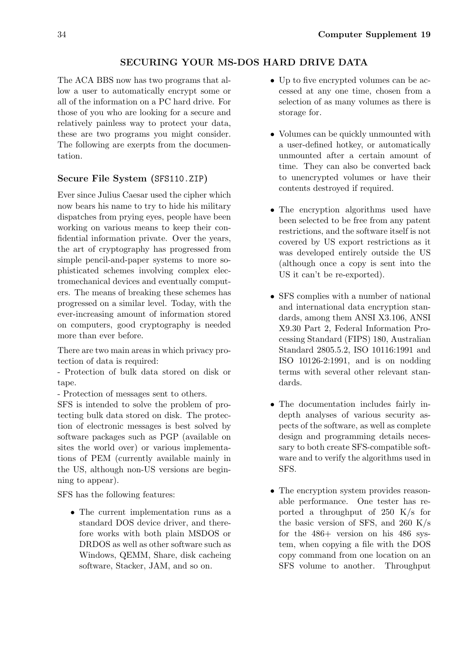# **SECURING YOUR MS-DOS HARD DRIVE DATA**

The ACA BBS now has two programs that allow a user to automatically encrypt some or all of the information on a PC hard drive. For those of you who are looking for a secure and relatively painless way to protect your data, these are two programs you might consider. The following are exerpts from the documentation.

# **Secure File System (**SFS110.ZIP**)**

Ever since Julius Caesar used the cipher which now bears his name to try to hide his military dispatches from prying eyes, people have been working on various means to keep their confidential information private. Over the years, the art of cryptography has progressed from simple pencil-and-paper systems to more sophisticated schemes involving complex electromechanical devices and eventually computers. The means of breaking these schemes has progressed on a similar level. Today, with the ever-increasing amount of information stored on computers, good cryptography is needed more than ever before.

There are two main areas in which privacy protection of data is required:

- Protection of bulk data stored on disk or tape.

- Protection of messages sent to others.

SFS is intended to solve the problem of protecting bulk data stored on disk. The protection of electronic messages is best solved by software packages such as PGP (available on sites the world over) or various implementations of PEM (currently available mainly in the US, although non-US versions are beginning to appear).

SFS has the following features:

*•* The current implementation runs as a standard DOS device driver, and therefore works with both plain MSDOS or DRDOS as well as other software such as Windows, QEMM, Share, disk cacheing software, Stacker, JAM, and so on.

- Up to five encrypted volumes can be accessed at any one time, chosen from a selection of as many volumes as there is storage for.
- Volumes can be quickly unmounted with a user-defined hotkey, or automatically unmounted after a certain amount of time. They can also be converted back to unencrypted volumes or have their contents destroyed if required.
- The encryption algorithms used have been selected to be free from any patent restrictions, and the software itself is not covered by US export restrictions as it was developed entirely outside the US (although once a copy is sent into the US it can't be re-exported).
- SFS complies with a number of national and international data encryption standards, among them ANSI X3.106, ANSI X9.30 Part 2, Federal Information Processing Standard (FIPS) 180, Australian Standard 2805.5.2, ISO 10116:1991 and ISO 10126-2:1991, and is on nodding terms with several other relevant standards.
- *•* The documentation includes fairly indepth analyses of various security aspects of the software, as well as complete design and programming details necessary to both create SFS-compatible software and to verify the algorithms used in SFS.
- The encryption system provides reasonable performance. One tester has reported a throughput of 250 K/s for the basic version of SFS, and 260 K/s for the 486+ version on his 486 system, when copying a file with the DOS copy command from one location on an SFS volume to another. Throughput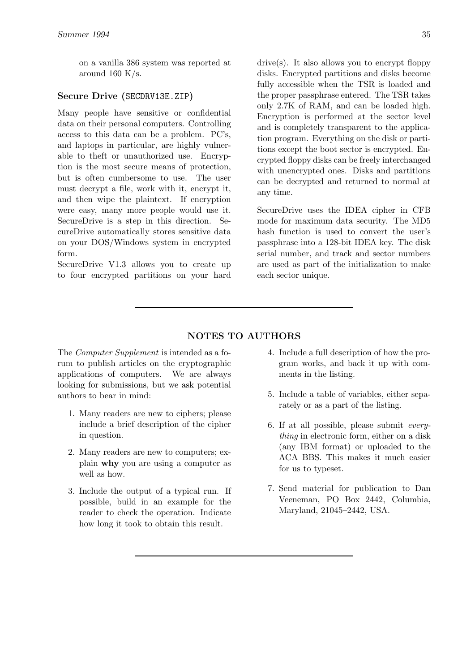on a vanilla 386 system was reported at around 160 K/s.

## **Secure Drive (**SECDRV13E.ZIP**)**

Many people have sensitive or confidential data on their personal computers. Controlling access to this data can be a problem. PC's, and laptops in particular, are highly vulnerable to theft or unauthorized use. Encryption is the most secure means of protection, but is often cumbersome to use. The user must decrypt a file, work with it, encrypt it, and then wipe the plaintext. If encryption were easy, many more people would use it. SecureDrive is a step in this direction. SecureDrive automatically stores sensitive data on your DOS/Windows system in encrypted form.

SecureDrive V1.3 allows you to create up to four encrypted partitions on your hard drive(s). It also allows you to encrypt floppy disks. Encrypted partitions and disks become fully accessible when the TSR is loaded and the proper passphrase entered. The TSR takes only 2.7K of RAM, and can be loaded high. Encryption is performed at the sector level and is completely transparent to the application program. Everything on the disk or partitions except the boot sector is encrypted. Encrypted floppy disks can be freely interchanged with unencrypted ones. Disks and partitions can be decrypted and returned to normal at any time.

SecureDrive uses the IDEA cipher in CFB mode for maximum data security. The MD5 hash function is used to convert the user's passphrase into a 128-bit IDEA key. The disk serial number, and track and sector numbers are used as part of the initialization to make each sector unique.

# **NOTES TO AUTHORS**

The *Computer Supplement* is intended as a forum to publish articles on the cryptographic applications of computers. We are always looking for submissions, but we ask potential authors to bear in mind:

- 1. Many readers are new to ciphers; please include a brief description of the cipher in question.
- 2. Many readers are new to computers; explain **why** you are using a computer as well as how.
- 3. Include the output of a typical run. If possible, build in an example for the reader to check the operation. Indicate how long it took to obtain this result.
- 4. Include a full description of how the program works, and back it up with comments in the listing.
- 5. Include a table of variables, either separately or as a part of the listing.
- 6. If at all possible, please submit *everything* in electronic form, either on a disk (any IBM format) or uploaded to the ACA BBS. This makes it much easier for us to typeset.
- 7. Send material for publication to Dan Veeneman, PO Box 2442, Columbia, Maryland, 21045–2442, USA.